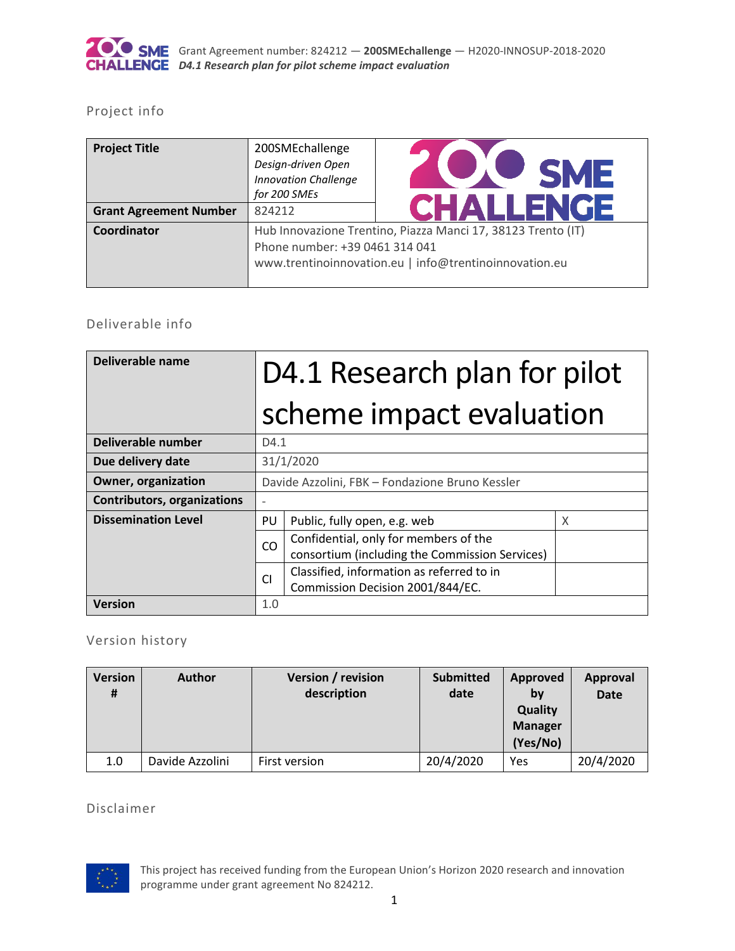

### Project info

| <b>Project Title</b>          | 200SMEchallenge<br>Design-driven Open<br><b>Innovation Challenge</b><br>for 200 SMEs | <b><i>DISHE</i></b><br><b>CHALLENGE</b>                                                                                |
|-------------------------------|--------------------------------------------------------------------------------------|------------------------------------------------------------------------------------------------------------------------|
| <b>Grant Agreement Number</b> | 824212                                                                               |                                                                                                                        |
| Coordinator                   | Phone number: +39 0461 314 041                                                       | Hub Innovazione Trentino, Piazza Manci 17, 38123 Trento (IT)<br>www.trentinoinnovation.eu   info@trentinoinnovation.eu |

### Deliverable info

| Deliverable name                   | D4.1 Research plan for pilot |                                                                                         |   |
|------------------------------------|------------------------------|-----------------------------------------------------------------------------------------|---|
|                                    |                              | scheme impact evaluation                                                                |   |
| Deliverable number                 | D4.1                         |                                                                                         |   |
| Due delivery date                  |                              | 31/1/2020                                                                               |   |
| <b>Owner, organization</b>         |                              | Davide Azzolini, FBK - Fondazione Bruno Kessler                                         |   |
| <b>Contributors, organizations</b> |                              |                                                                                         |   |
| <b>Dissemination Level</b>         | PU                           | Public, fully open, e.g. web                                                            | X |
|                                    | CO                           | Confidential, only for members of the<br>consortium (including the Commission Services) |   |
|                                    | <b>CI</b>                    | Classified, information as referred to in<br>Commission Decision 2001/844/EC.           |   |
| <b>Version</b>                     | 1.0                          |                                                                                         |   |

## Version history

| <b>Version</b><br># | <b>Author</b>   | Version / revision<br>description | <b>Submitted</b><br>date | <b>Approved</b><br>by<br><b>Quality</b><br><b>Manager</b><br>(Yes/No) | <b>Approval</b><br><b>Date</b> |
|---------------------|-----------------|-----------------------------------|--------------------------|-----------------------------------------------------------------------|--------------------------------|
| 1.0                 | Davide Azzolini | First version                     | 20/4/2020                | <b>Yes</b>                                                            | 20/4/2020                      |

Disclaimer

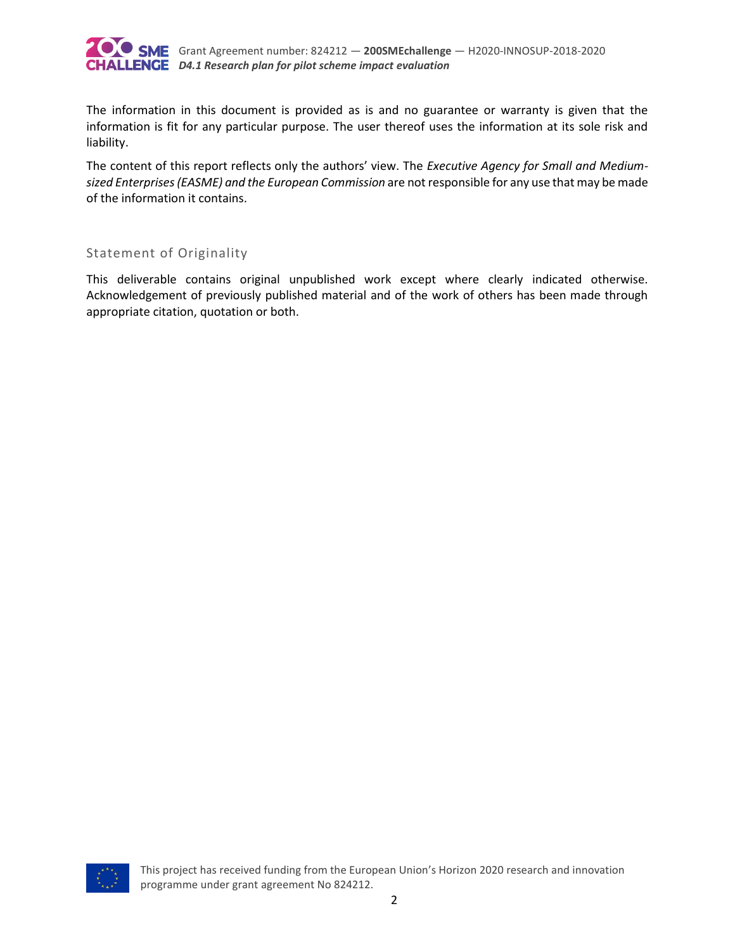

The information in this document is provided as is and no guarantee or warranty is given that the information is fit for any particular purpose. The user thereof uses the information at its sole risk and liability.

The content of this report reflects only the authors' view. The *Executive Agency for Small and Mediumsized Enterprises (EASME) and the European Commission* are not responsible for any use that may be made of the information it contains.

#### Statement of Originality

This deliverable contains original unpublished work except where clearly indicated otherwise. Acknowledgement of previously published material and of the work of others has been made through appropriate citation, quotation or both.

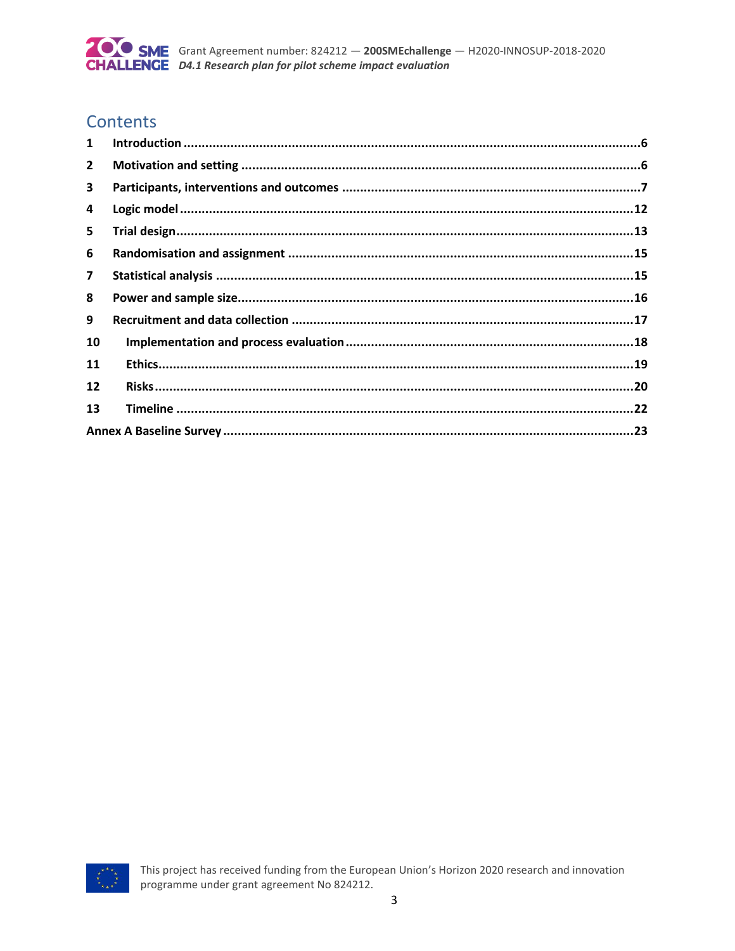

## Contents

| $\mathbf{1}$   |  |
|----------------|--|
| $\overline{2}$ |  |
| 3              |  |
| 4              |  |
| 5              |  |
| 6              |  |
| 7              |  |
| 8              |  |
| 9              |  |
| 10             |  |
| 11             |  |
| 12             |  |
| 13             |  |
|                |  |

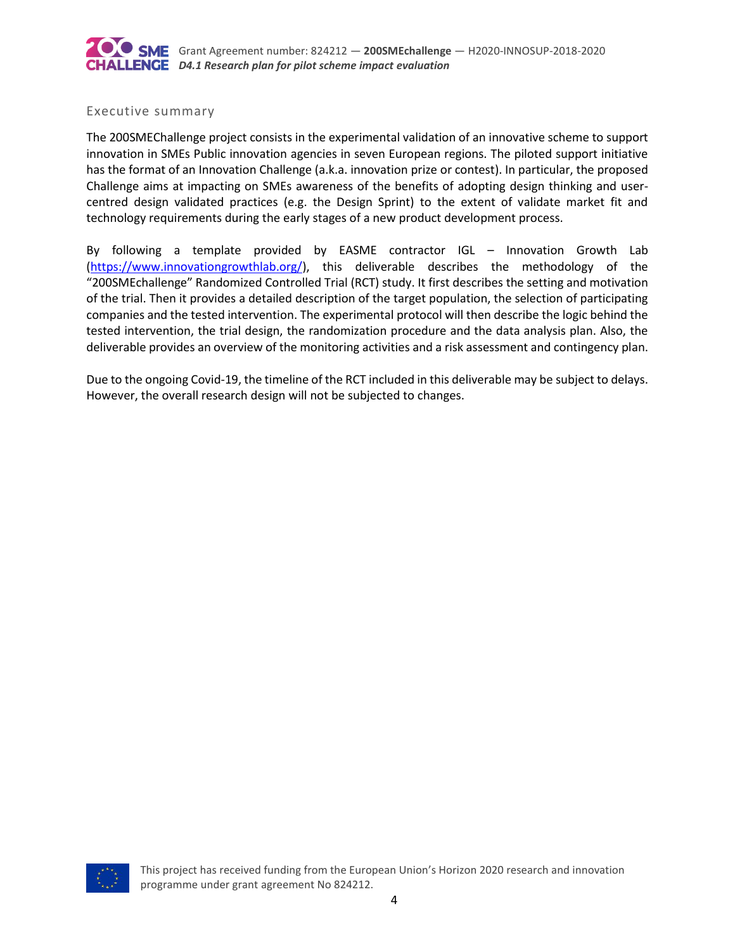

#### Executive summary

The 200SMEChallenge project consists in the experimental validation of an innovative scheme to support innovation in SMEs Public innovation agencies in seven European regions. The piloted support initiative has the format of an Innovation Challenge (a.k.a. innovation prize or contest). In particular, the proposed Challenge aims at impacting on SMEs awareness of the benefits of adopting design thinking and usercentred design validated practices (e.g. the Design Sprint) to the extent of validate market fit and technology requirements during the early stages of a new product development process.

By following a template provided by EASME contractor IGL – Innovation Growth Lab [\(https://www.innovationgrowthlab.org/\)](https://www.innovationgrowthlab.org/), this deliverable describes the methodology of the "200SMEchallenge" Randomized Controlled Trial (RCT) study. It first describes the setting and motivation of the trial. Then it provides a detailed description of the target population, the selection of participating companies and the tested intervention. The experimental protocol will then describe the logic behind the tested intervention, the trial design, the randomization procedure and the data analysis plan. Also, the deliverable provides an overview of the monitoring activities and a risk assessment and contingency plan.

Due to the ongoing Covid-19, the timeline of the RCT included in this deliverable may be subject to delays. However, the overall research design will not be subjected to changes.

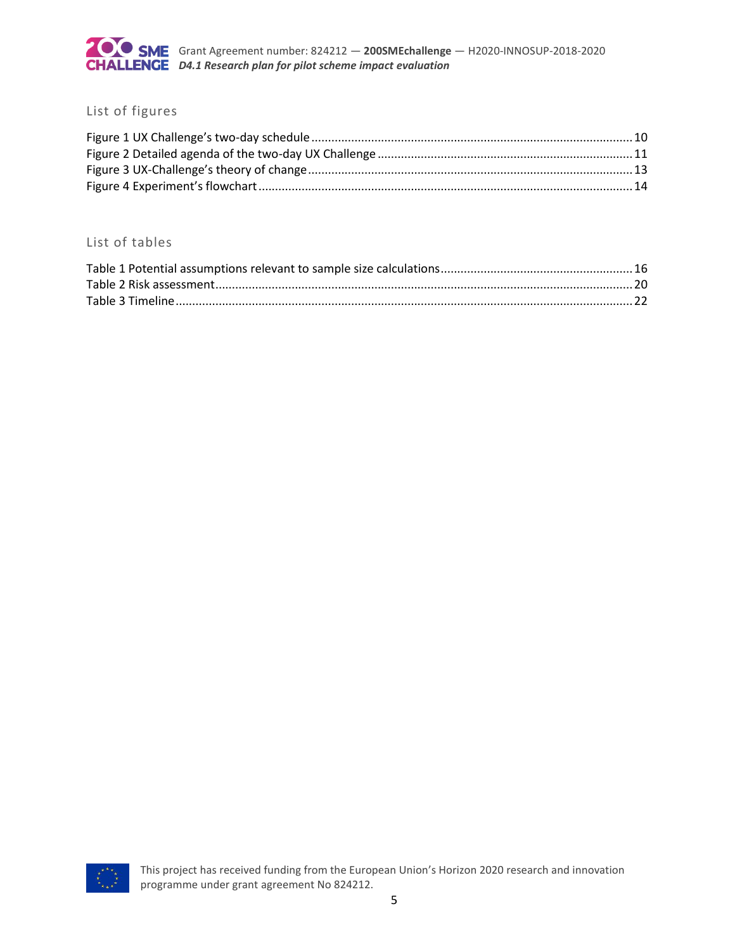

### List of figures

#### List of tables

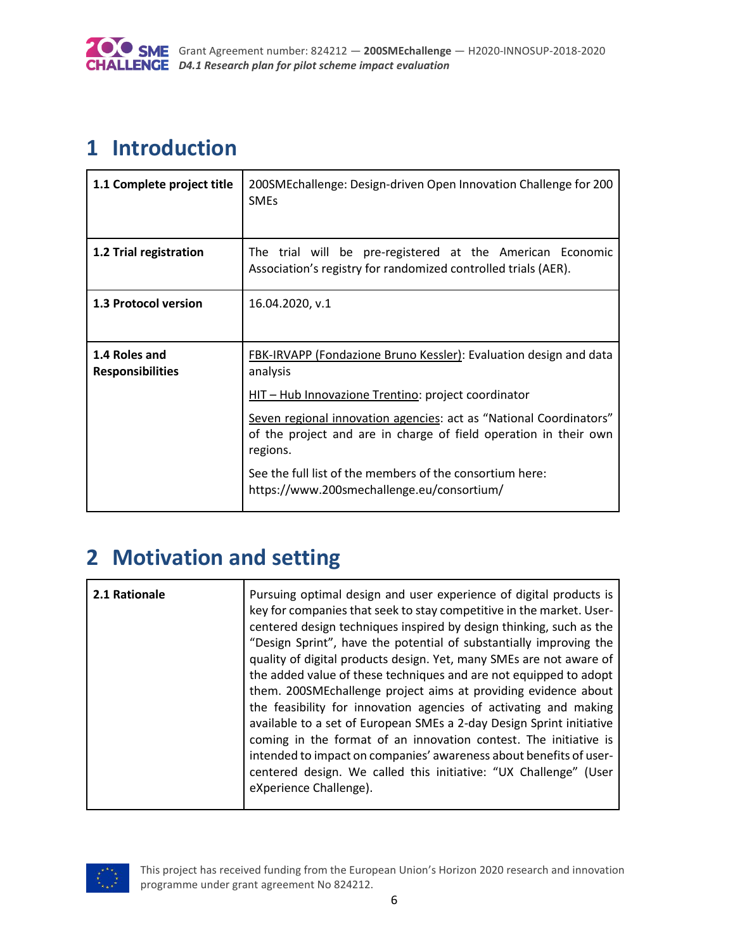

# <span id="page-5-0"></span>**1 Introduction**

| 1.1 Complete project title               | 200SMEchallenge: Design-driven Open Innovation Challenge for 200<br><b>SMEs</b>                                                                    |
|------------------------------------------|----------------------------------------------------------------------------------------------------------------------------------------------------|
| 1.2 Trial registration                   | The trial will be pre-registered at the American Economic<br>Association's registry for randomized controlled trials (AER).                        |
| 1.3 Protocol version                     | 16.04.2020, v.1                                                                                                                                    |
| 1.4 Roles and<br><b>Responsibilities</b> | <b>FBK-IRVAPP (Fondazione Bruno Kessler): Evaluation design and data</b><br>analysis<br>HIT - Hub Innovazione Trentino: project coordinator        |
|                                          | Seven regional innovation agencies: act as "National Coordinators"<br>of the project and are in charge of field operation in their own<br>regions. |
|                                          | See the full list of the members of the consortium here:<br>https://www.200smechallenge.eu/consortium/                                             |

# <span id="page-5-1"></span>**2 Motivation and setting**

| eXperience Challenge). | 2.1 Rationale | Pursuing optimal design and user experience of digital products is<br>key for companies that seek to stay competitive in the market. User-<br>centered design techniques inspired by design thinking, such as the<br>"Design Sprint", have the potential of substantially improving the<br>quality of digital products design. Yet, many SMEs are not aware of<br>the added value of these techniques and are not equipped to adopt<br>them. 200SMEchallenge project aims at providing evidence about<br>the feasibility for innovation agencies of activating and making<br>available to a set of European SMEs a 2-day Design Sprint initiative<br>coming in the format of an innovation contest. The initiative is<br>intended to impact on companies' awareness about benefits of user-<br>centered design. We called this initiative: "UX Challenge" (User |
|------------------------|---------------|-----------------------------------------------------------------------------------------------------------------------------------------------------------------------------------------------------------------------------------------------------------------------------------------------------------------------------------------------------------------------------------------------------------------------------------------------------------------------------------------------------------------------------------------------------------------------------------------------------------------------------------------------------------------------------------------------------------------------------------------------------------------------------------------------------------------------------------------------------------------|
|------------------------|---------------|-----------------------------------------------------------------------------------------------------------------------------------------------------------------------------------------------------------------------------------------------------------------------------------------------------------------------------------------------------------------------------------------------------------------------------------------------------------------------------------------------------------------------------------------------------------------------------------------------------------------------------------------------------------------------------------------------------------------------------------------------------------------------------------------------------------------------------------------------------------------|

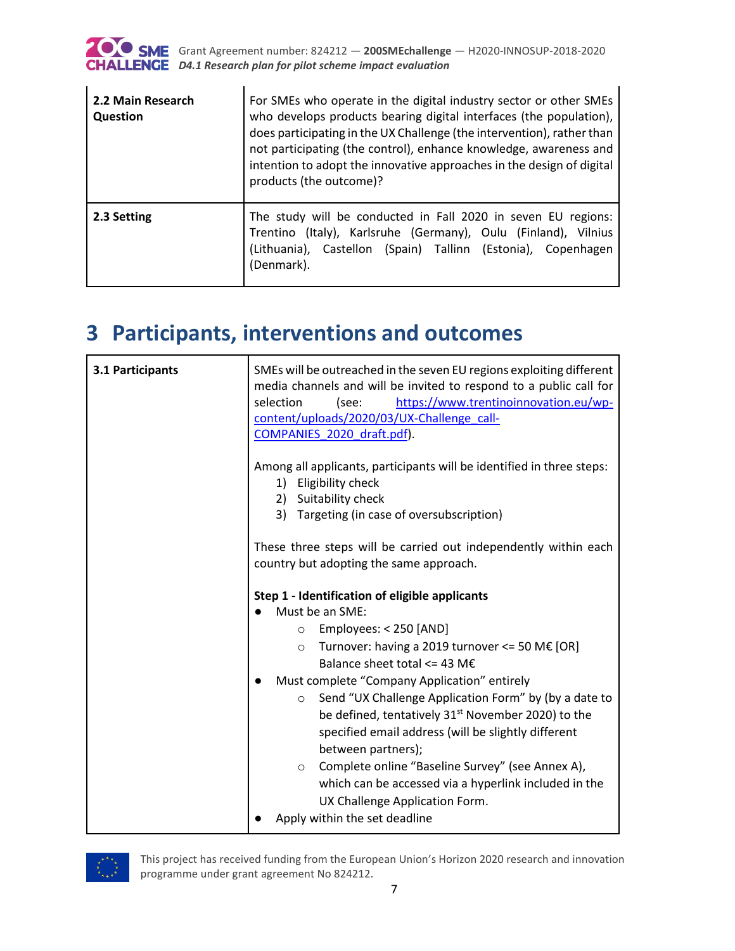

Ĭ.

 $\blacksquare$ 

| 2.2 Main Research<br>Question | For SMEs who operate in the digital industry sector or other SMEs<br>who develops products bearing digital interfaces (the population),<br>does participating in the UX Challenge (the intervention), rather than<br>not participating (the control), enhance knowledge, awareness and<br>intention to adopt the innovative approaches in the design of digital<br>products (the outcome)? |
|-------------------------------|--------------------------------------------------------------------------------------------------------------------------------------------------------------------------------------------------------------------------------------------------------------------------------------------------------------------------------------------------------------------------------------------|
| 2.3 Setting                   | The study will be conducted in Fall 2020 in seven EU regions:<br>Trentino (Italy), Karlsruhe (Germany), Oulu (Finland), Vilnius<br>(Lithuania), Castellon (Spain) Tallinn (Estonia), Copenhagen<br>(Denmark).                                                                                                                                                                              |

# <span id="page-6-0"></span>**3 Participants, interventions and outcomes**

| 3.1 Participants | SMEs will be outreached in the seven EU regions exploiting different<br>media channels and will be invited to respond to a public call for<br>selection<br>(see:<br>https://www.trentinoinnovation.eu/wp-<br>content/uploads/2020/03/UX-Challenge_call-<br>COMPANIES 2020 draft.pdf).                                                                                                   |
|------------------|-----------------------------------------------------------------------------------------------------------------------------------------------------------------------------------------------------------------------------------------------------------------------------------------------------------------------------------------------------------------------------------------|
|                  | Among all applicants, participants will be identified in three steps:<br>Eligibility check<br>1)<br>2) Suitability check                                                                                                                                                                                                                                                                |
|                  | 3) Targeting (in case of oversubscription)                                                                                                                                                                                                                                                                                                                                              |
|                  | These three steps will be carried out independently within each<br>country but adopting the same approach.                                                                                                                                                                                                                                                                              |
|                  | Step 1 - Identification of eligible applicants<br>Must be an SME:                                                                                                                                                                                                                                                                                                                       |
|                  | Employees: < 250 [AND]<br>$\circ$<br>Turnover: having a 2019 turnover <= 50 M $\epsilon$ [OR]<br>$\circ$<br>Balance sheet total <= 43 M $\epsilon$                                                                                                                                                                                                                                      |
|                  | Must complete "Company Application" entirely<br>Send "UX Challenge Application Form" by (by a date to<br>$\circ$<br>be defined, tentatively 31 <sup>st</sup> November 2020) to the<br>specified email address (will be slightly different<br>between partners);<br>Complete online "Baseline Survey" (see Annex A),<br>$\circ$<br>which can be accessed via a hyperlink included in the |
|                  | UX Challenge Application Form.<br>Apply within the set deadline                                                                                                                                                                                                                                                                                                                         |

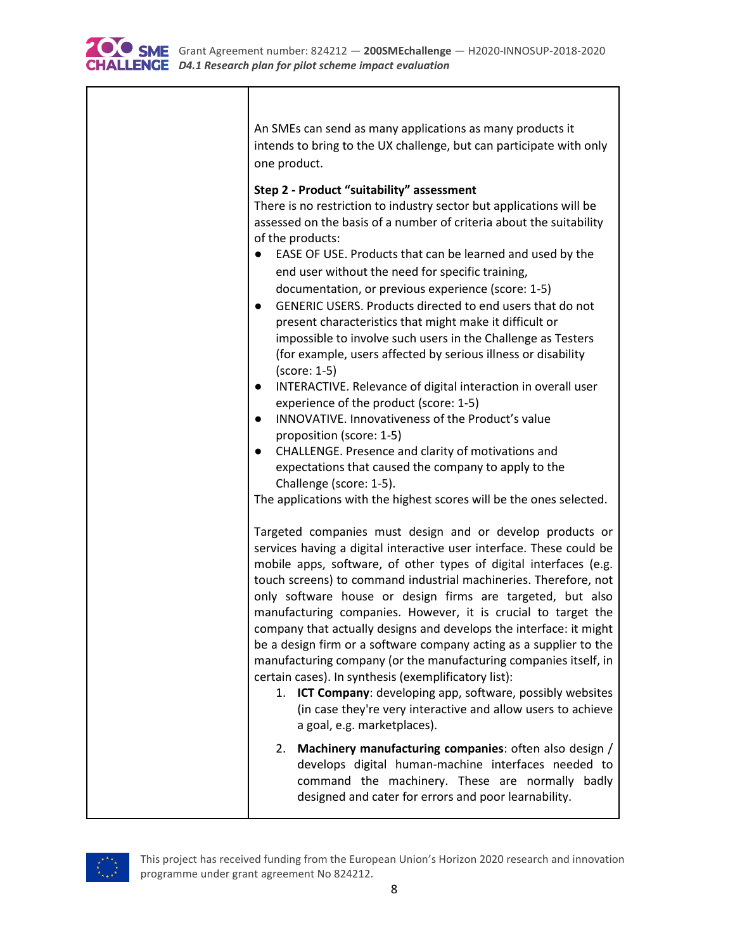

| An SMEs can send as many applications as many products it<br>intends to bring to the UX challenge, but can participate with only<br>one product.                                                                                                                                                                                                                                                                                                                                                                                                                                                                                                                                                                                                                                                                                                                                                                                                                                                                                                                                                                                                                                                                                                                                                                                                                                                                                                                                                                                                                                                  |
|---------------------------------------------------------------------------------------------------------------------------------------------------------------------------------------------------------------------------------------------------------------------------------------------------------------------------------------------------------------------------------------------------------------------------------------------------------------------------------------------------------------------------------------------------------------------------------------------------------------------------------------------------------------------------------------------------------------------------------------------------------------------------------------------------------------------------------------------------------------------------------------------------------------------------------------------------------------------------------------------------------------------------------------------------------------------------------------------------------------------------------------------------------------------------------------------------------------------------------------------------------------------------------------------------------------------------------------------------------------------------------------------------------------------------------------------------------------------------------------------------------------------------------------------------------------------------------------------------|
| Step 2 - Product "suitability" assessment<br>There is no restriction to industry sector but applications will be<br>assessed on the basis of a number of criteria about the suitability<br>of the products:<br>EASE OF USE. Products that can be learned and used by the<br>end user without the need for specific training,<br>documentation, or previous experience (score: 1-5)<br>GENERIC USERS. Products directed to end users that do not<br>present characteristics that might make it difficult or<br>impossible to involve such users in the Challenge as Testers<br>(for example, users affected by serious illness or disability<br>(score: 1-5)<br>INTERACTIVE. Relevance of digital interaction in overall user<br>$\bullet$<br>experience of the product (score: 1-5)<br>INNOVATIVE. Innovativeness of the Product's value<br>$\bullet$<br>proposition (score: 1-5)<br>CHALLENGE. Presence and clarity of motivations and<br>$\bullet$<br>expectations that caused the company to apply to the<br>Challenge (score: 1-5).<br>The applications with the highest scores will be the ones selected.<br>Targeted companies must design and or develop products or<br>services having a digital interactive user interface. These could be<br>mobile apps, software, of other types of digital interfaces (e.g.<br>touch screens) to command industrial machineries. Therefore, not<br>only software house or design firms are targeted, but also<br>manufacturing companies. However, it is crucial to target the<br>company that actually designs and develops the interface: it might |
| be a design firm or a software company acting as a supplier to the<br>manufacturing company (or the manufacturing companies itself, in<br>certain cases). In synthesis (exemplificatory list):<br>1. ICT Company: developing app, software, possibly websites<br>(in case they're very interactive and allow users to achieve<br>a goal, e.g. marketplaces).                                                                                                                                                                                                                                                                                                                                                                                                                                                                                                                                                                                                                                                                                                                                                                                                                                                                                                                                                                                                                                                                                                                                                                                                                                      |
| Machinery manufacturing companies: often also design /<br>2.<br>develops digital human-machine interfaces needed to<br>command the machinery. These are normally badly<br>designed and cater for errors and poor learnability.                                                                                                                                                                                                                                                                                                                                                                                                                                                                                                                                                                                                                                                                                                                                                                                                                                                                                                                                                                                                                                                                                                                                                                                                                                                                                                                                                                    |

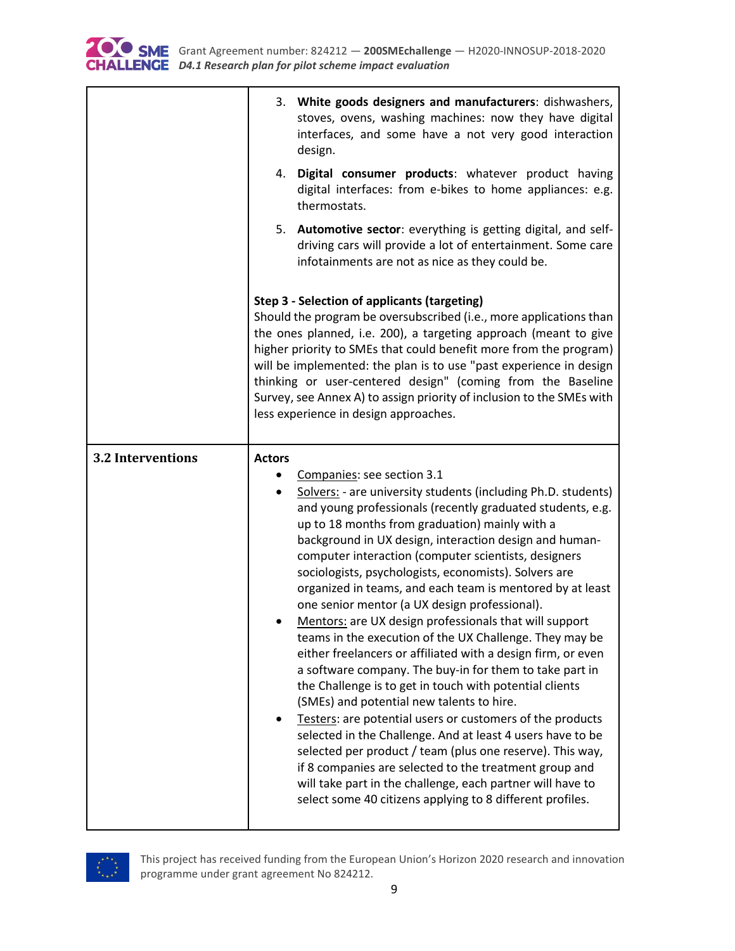

|                          | 3. White goods designers and manufacturers: dishwashers,<br>stoves, ovens, washing machines: now they have digital<br>interfaces, and some have a not very good interaction<br>design.<br>4. Digital consumer products: whatever product having<br>digital interfaces: from e-bikes to home appliances: e.g.<br>thermostats.<br>5. Automotive sector: everything is getting digital, and self-<br>driving cars will provide a lot of entertainment. Some care<br>infotainments are not as nice as they could be.                                                                                                                                                                                                                                                                                                                                                                                                                                                                                                                                                                                                                                                                                                                                           |
|--------------------------|------------------------------------------------------------------------------------------------------------------------------------------------------------------------------------------------------------------------------------------------------------------------------------------------------------------------------------------------------------------------------------------------------------------------------------------------------------------------------------------------------------------------------------------------------------------------------------------------------------------------------------------------------------------------------------------------------------------------------------------------------------------------------------------------------------------------------------------------------------------------------------------------------------------------------------------------------------------------------------------------------------------------------------------------------------------------------------------------------------------------------------------------------------------------------------------------------------------------------------------------------------|
|                          | Step 3 - Selection of applicants (targeting)<br>Should the program be oversubscribed (i.e., more applications than<br>the ones planned, i.e. 200), a targeting approach (meant to give<br>higher priority to SMEs that could benefit more from the program)<br>will be implemented: the plan is to use "past experience in design<br>thinking or user-centered design" (coming from the Baseline<br>Survey, see Annex A) to assign priority of inclusion to the SMEs with<br>less experience in design approaches.                                                                                                                                                                                                                                                                                                                                                                                                                                                                                                                                                                                                                                                                                                                                         |
| <b>3.2 Interventions</b> | <b>Actors</b><br>Companies: see section 3.1<br>Solvers: - are university students (including Ph.D. students)<br>and young professionals (recently graduated students, e.g.<br>up to 18 months from graduation) mainly with a<br>background in UX design, interaction design and human-<br>computer interaction (computer scientists, designers<br>sociologists, psychologists, economists). Solvers are<br>organized in teams, and each team is mentored by at least<br>one senior mentor (a UX design professional).<br>Mentors: are UX design professionals that will support<br>teams in the execution of the UX Challenge. They may be<br>either freelancers or affiliated with a design firm, or even<br>a software company. The buy-in for them to take part in<br>the Challenge is to get in touch with potential clients<br>(SMEs) and potential new talents to hire.<br>Testers: are potential users or customers of the products<br>selected in the Challenge. And at least 4 users have to be<br>selected per product / team (plus one reserve). This way,<br>if 8 companies are selected to the treatment group and<br>will take part in the challenge, each partner will have to<br>select some 40 citizens applying to 8 different profiles. |

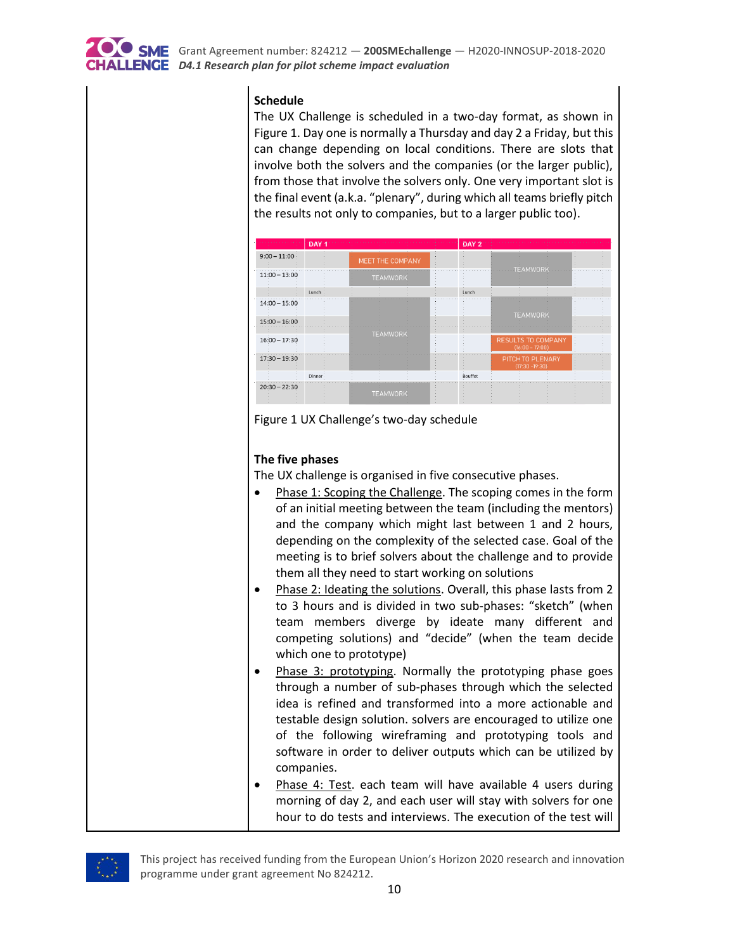

#### **Schedule**

The UX Challenge is scheduled in a two-day format, as shown in Figure 1. Day one is normally a Thursday and day 2 a Friday, but this can change depending on local conditions. There are slots that involve both the solvers and the companies (or the larger public), from those that involve the solvers only. One very important slot is the final event (a.k.a. "plenary", during which all teams briefly pitch the results not only to companies, but to a larger public too).



<span id="page-9-0"></span>

#### **The five phases**

The UX challenge is organised in five consecutive phases.

- Phase 1: Scoping the Challenge. The scoping comes in the form of an initial meeting between the team (including the mentors) and the company which might last between 1 and 2 hours, depending on the complexity of the selected case. Goal of the meeting is to brief solvers about the challenge and to provide them all they need to start working on solutions
- Phase 2: Ideating the solutions. Overall, this phase lasts from 2 to 3 hours and is divided in two sub-phases: "sketch" (when team members diverge by ideate many different and competing solutions) and "decide" (when the team decide which one to prototype)
- Phase 3: prototyping. Normally the prototyping phase goes through a number of sub-phases through which the selected idea is refined and transformed into a more actionable and testable design solution. solvers are encouraged to utilize one of the following wireframing and prototyping tools and software in order to deliver outputs which can be utilized by companies.
- Phase 4: Test. each team will have available 4 users during morning of day 2, and each user will stay with solvers for one hour to do tests and interviews. The execution of the test will

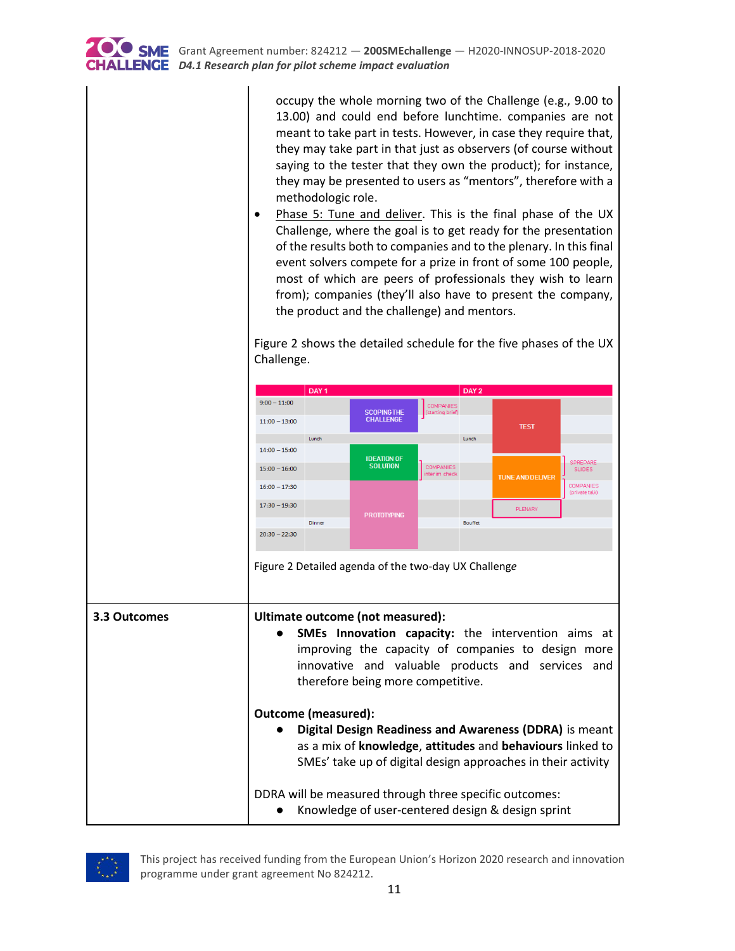

occupy the whole morning two of the Challenge (e.g., 9.00 to 13.00) and could end before lunchtime. companies are not meant to take part in tests. However, in case they require that, they may take part in that just as observers (of course without saying to the tester that they own the product); for instance, they may be presented to users as "mentors", therefore with a methodologic role.

• Phase 5: Tune and deliver. This is the final phase of the UX Challenge, where the goal is to get ready for the presentation of the results both to companies and to the plenary. In this final event solvers compete for a prize in front of some 100 people, most of which are peers of professionals they wish to learn from); companies (they'll also have to present the company, the product and the challenge) and mentors.

<span id="page-10-0"></span>Figure 2 shows the detailed schedule for the five phases of the UX Challenge.



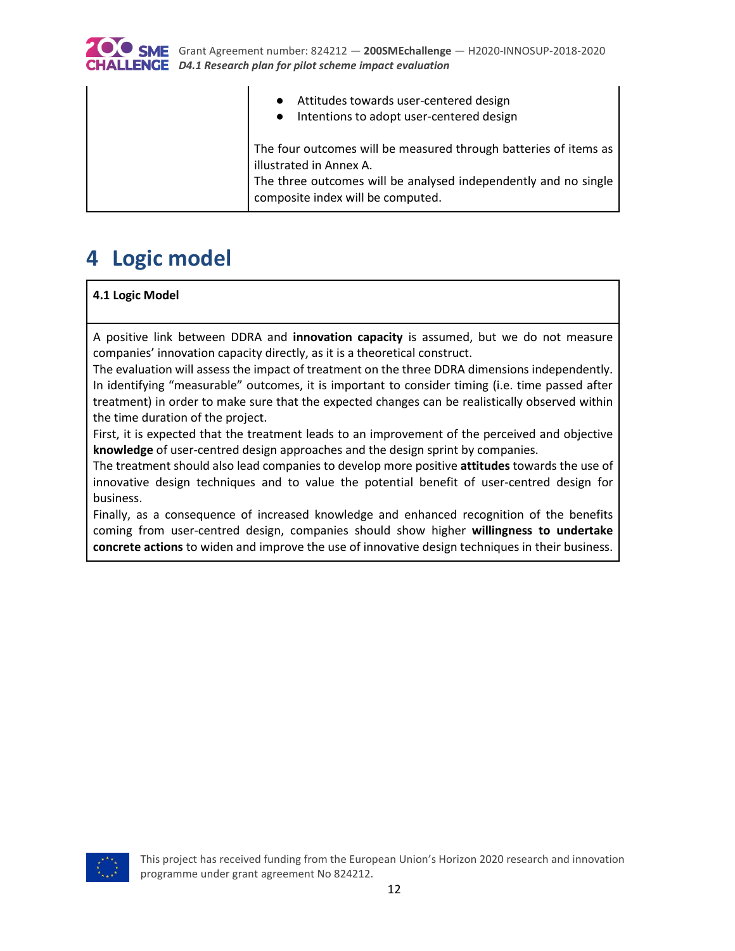

 $\mathbf{I}$ 

 $\mathbf{I}$ 

| Attitudes towards user-centered design<br>$\bullet$<br>• Intentions to adopt user-centered design                                                                                                   |
|-----------------------------------------------------------------------------------------------------------------------------------------------------------------------------------------------------|
| The four outcomes will be measured through batteries of items as<br>illustrated in Annex A.<br>The three outcomes will be analysed independently and no single<br>composite index will be computed. |

 $\mathbf{I}$ 

# <span id="page-11-0"></span>**4 Logic model**

**4.1 Logic Model**

A positive link between DDRA and **innovation capacity** is assumed, but we do not measure companies' innovation capacity directly, as it is a theoretical construct.

The evaluation will assess the impact of treatment on the three DDRA dimensions independently. In identifying "measurable" outcomes, it is important to consider timing (i.e. time passed after treatment) in order to make sure that the expected changes can be realistically observed within the time duration of the project.

First, it is expected that the treatment leads to an improvement of the perceived and objective **knowledge** of user-centred design approaches and the design sprint by companies.

The treatment should also lead companies to develop more positive **attitudes** towards the use of innovative design techniques and to value the potential benefit of user-centred design for business.

Finally, as a consequence of increased knowledge and enhanced recognition of the benefits coming from user-centred design, companies should show higher **willingness to undertake concrete actions** to widen and improve the use of innovative design techniques in their business.

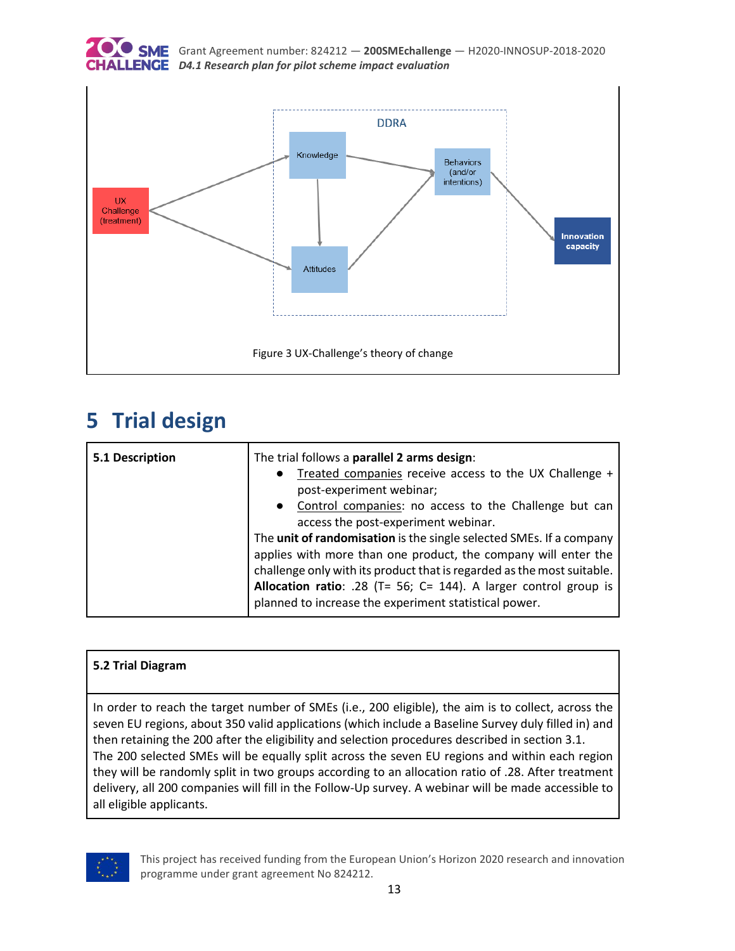



# <span id="page-12-1"></span><span id="page-12-0"></span>**5 Trial design**

| 5.1 Description | The trial follows a parallel 2 arms design:<br>Treated companies receive access to the UX Challenge +<br>post-experiment webinar;<br>• Control companies: no access to the Challenge but can<br>access the post-experiment webinar.                                                                                                          |
|-----------------|----------------------------------------------------------------------------------------------------------------------------------------------------------------------------------------------------------------------------------------------------------------------------------------------------------------------------------------------|
|                 | The unit of randomisation is the single selected SMEs. If a company<br>applies with more than one product, the company will enter the<br>challenge only with its product that is regarded as the most suitable.<br>Allocation ratio: .28 (T= 56; C= 144). A larger control group is<br>planned to increase the experiment statistical power. |

### **5.2 Trial Diagram**

In order to reach the target number of SMEs (i.e., 200 eligible), the aim is to collect, across the seven EU regions, about 350 valid applications (which include a Baseline Survey duly filled in) and then retaining the 200 after the eligibility and selection procedures described in section 3.1. The 200 selected SMEs will be equally split across the seven EU regions and within each region they will be randomly split in two groups according to an allocation ratio of .28. After treatment delivery, all 200 companies will fill in the Follow-Up survey. A webinar will be made accessible to all eligible applicants.

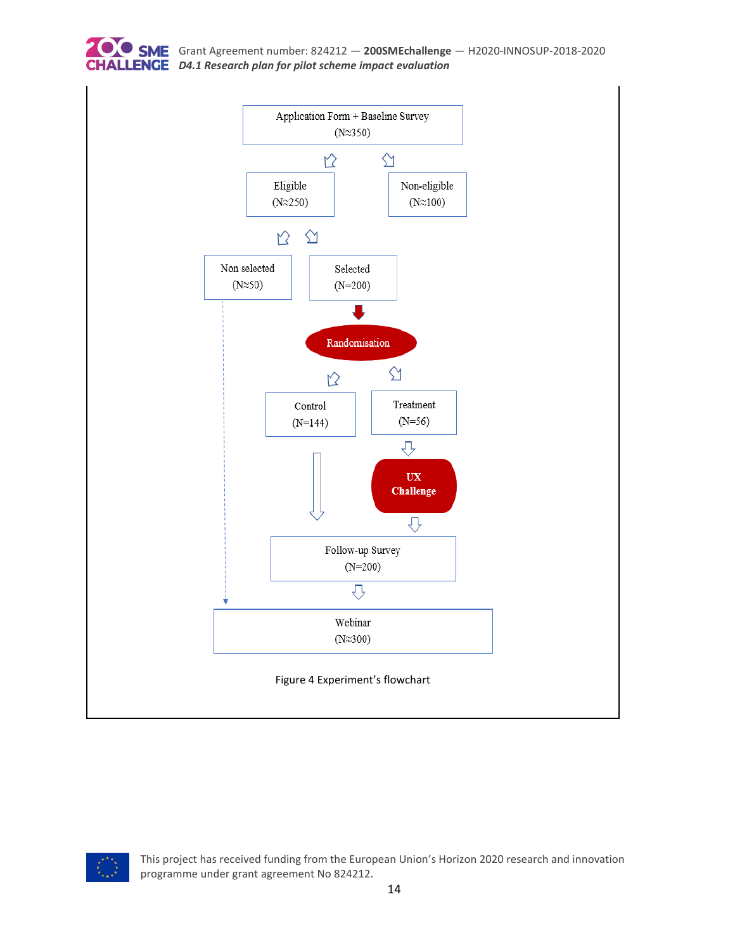



<span id="page-13-0"></span>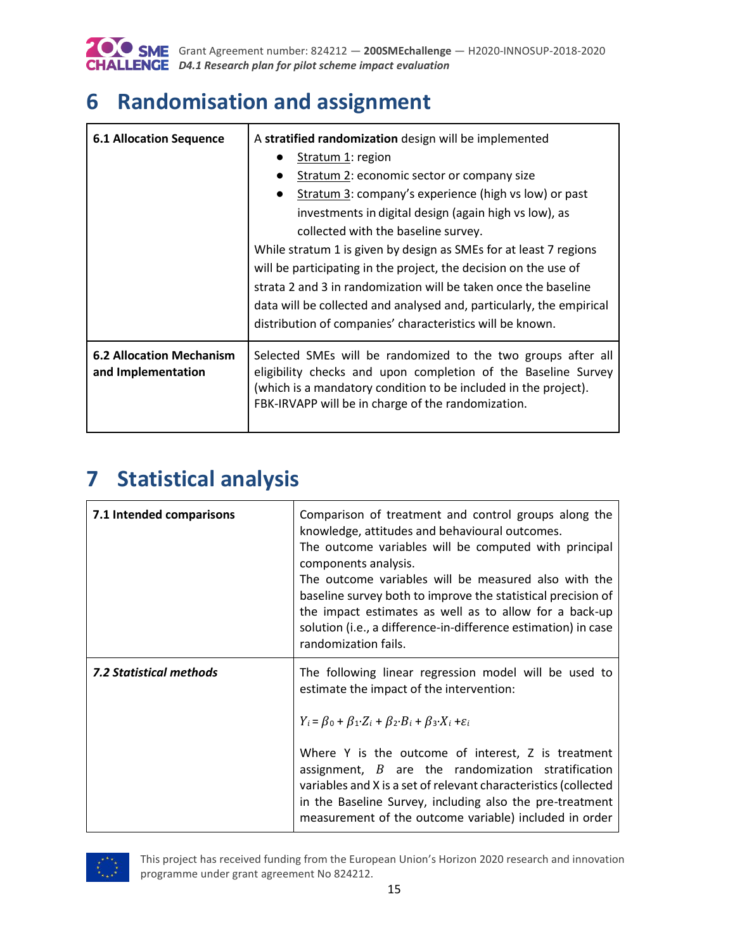

# <span id="page-14-0"></span>**6 Randomisation and assignment**

| <b>6.1 Allocation Sequence</b>                        | A stratified randomization design will be implemented                                                                                                                                                                                                  |
|-------------------------------------------------------|--------------------------------------------------------------------------------------------------------------------------------------------------------------------------------------------------------------------------------------------------------|
|                                                       | Stratum 1: region                                                                                                                                                                                                                                      |
|                                                       | Stratum 2: economic sector or company size<br>$\bullet$                                                                                                                                                                                                |
|                                                       | Stratum 3: company's experience (high vs low) or past                                                                                                                                                                                                  |
|                                                       | investments in digital design (again high vs low), as                                                                                                                                                                                                  |
|                                                       | collected with the baseline survey.                                                                                                                                                                                                                    |
|                                                       | While stratum 1 is given by design as SMEs for at least 7 regions                                                                                                                                                                                      |
|                                                       | will be participating in the project, the decision on the use of                                                                                                                                                                                       |
|                                                       | strata 2 and 3 in randomization will be taken once the baseline                                                                                                                                                                                        |
|                                                       | data will be collected and analysed and, particularly, the empirical                                                                                                                                                                                   |
|                                                       | distribution of companies' characteristics will be known.                                                                                                                                                                                              |
| <b>6.2 Allocation Mechanism</b><br>and Implementation | Selected SMEs will be randomized to the two groups after all<br>eligibility checks and upon completion of the Baseline Survey<br>(which is a mandatory condition to be included in the project).<br>FBK-IRVAPP will be in charge of the randomization. |

# <span id="page-14-1"></span>**7 Statistical analysis**

| 7.1 Intended comparisons | Comparison of treatment and control groups along the<br>knowledge, attitudes and behavioural outcomes.<br>The outcome variables will be computed with principal<br>components analysis.<br>The outcome variables will be measured also with the<br>baseline survey both to improve the statistical precision of<br>the impact estimates as well as to allow for a back-up<br>solution (i.e., a difference-in-difference estimation) in case<br>randomization fails.                                     |
|--------------------------|---------------------------------------------------------------------------------------------------------------------------------------------------------------------------------------------------------------------------------------------------------------------------------------------------------------------------------------------------------------------------------------------------------------------------------------------------------------------------------------------------------|
| 7.2 Statistical methods  | The following linear regression model will be used to<br>estimate the impact of the intervention:<br>$Y_i = \beta_0 + \beta_1 \cdot Z_i + \beta_2 \cdot B_i + \beta_3 \cdot X_i + \varepsilon_i$<br>Where Y is the outcome of interest, Z is treatment<br>assignment, $B$ are the randomization stratification<br>variables and X is a set of relevant characteristics (collected<br>in the Baseline Survey, including also the pre-treatment<br>measurement of the outcome variable) included in order |

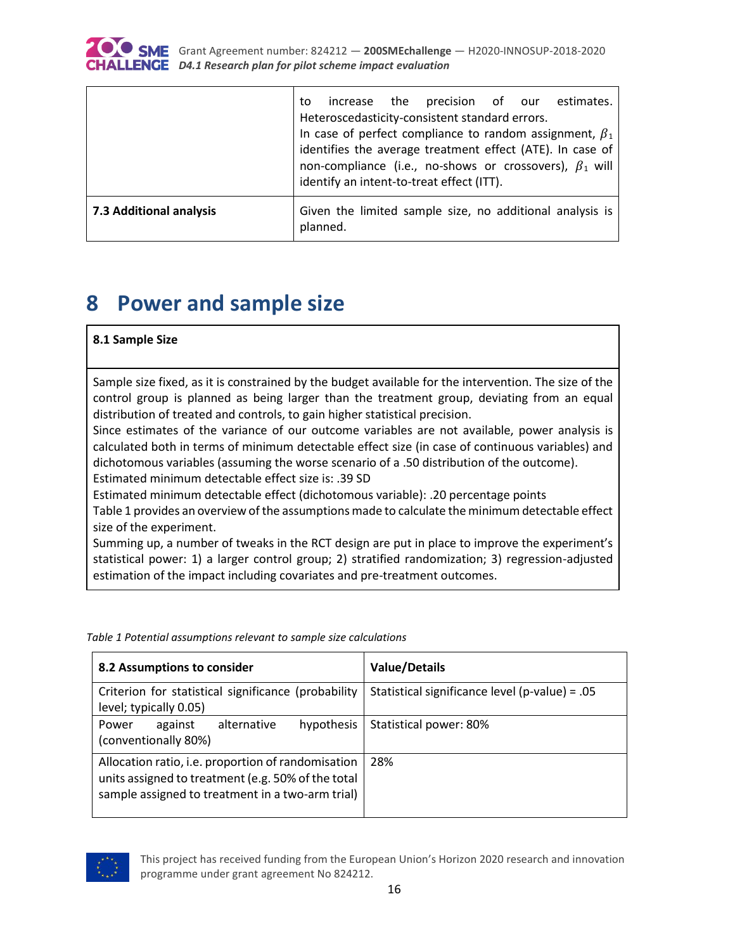

|                         | precision of our estimates.<br>increase the<br>to<br>Heteroscedasticity-consistent standard errors.<br>In case of perfect compliance to random assignment, $\beta_1$<br>identifies the average treatment effect (ATE). In case of |
|-------------------------|-----------------------------------------------------------------------------------------------------------------------------------------------------------------------------------------------------------------------------------|
|                         | non-compliance (i.e., no-shows or crossovers), $\beta_1$ will<br>identify an intent-to-treat effect (ITT).                                                                                                                        |
| 7.3 Additional analysis | Given the limited sample size, no additional analysis is<br>planned.                                                                                                                                                              |

# <span id="page-15-0"></span>**8 Power and sample size**

#### **8.1 Sample Size**

Sample size fixed, as it is constrained by the budget available for the intervention. The size of the control group is planned as being larger than the treatment group, deviating from an equal distribution of treated and controls, to gain higher statistical precision.

Since estimates of the variance of our outcome variables are not available, power analysis is calculated both in terms of minimum detectable effect size (in case of continuous variables) and dichotomous variables (assuming the worse scenario of a .50 distribution of the outcome). Estimated minimum detectable effect size is: .39 SD

Estimated minimum detectable effect (dichotomous variable): .20 percentage points

Table 1 provides an overview of the assumptions made to calculate the minimum detectable effect size of the experiment.

Summing up, a number of tweaks in the RCT design are put in place to improve the experiment's statistical power: 1) a larger control group; 2) stratified randomization; 3) regression-adjusted estimation of the impact including covariates and pre-treatment outcomes.

<span id="page-15-1"></span>*Table 1 Potential assumptions relevant to sample size calculations*

| 8.2 Assumptions to consider                                                                                                                                  | <b>Value/Details</b>                           |
|--------------------------------------------------------------------------------------------------------------------------------------------------------------|------------------------------------------------|
| Criterion for statistical significance (probability<br>level; typically 0.05)                                                                                | Statistical significance level (p-value) = .05 |
| hypothesis<br>alternative<br>against<br>Power<br>(conventionally 80%)                                                                                        | Statistical power: 80%                         |
| Allocation ratio, i.e. proportion of randomisation<br>units assigned to treatment (e.g. 50% of the total<br>sample assigned to treatment in a two-arm trial) | 28%                                            |

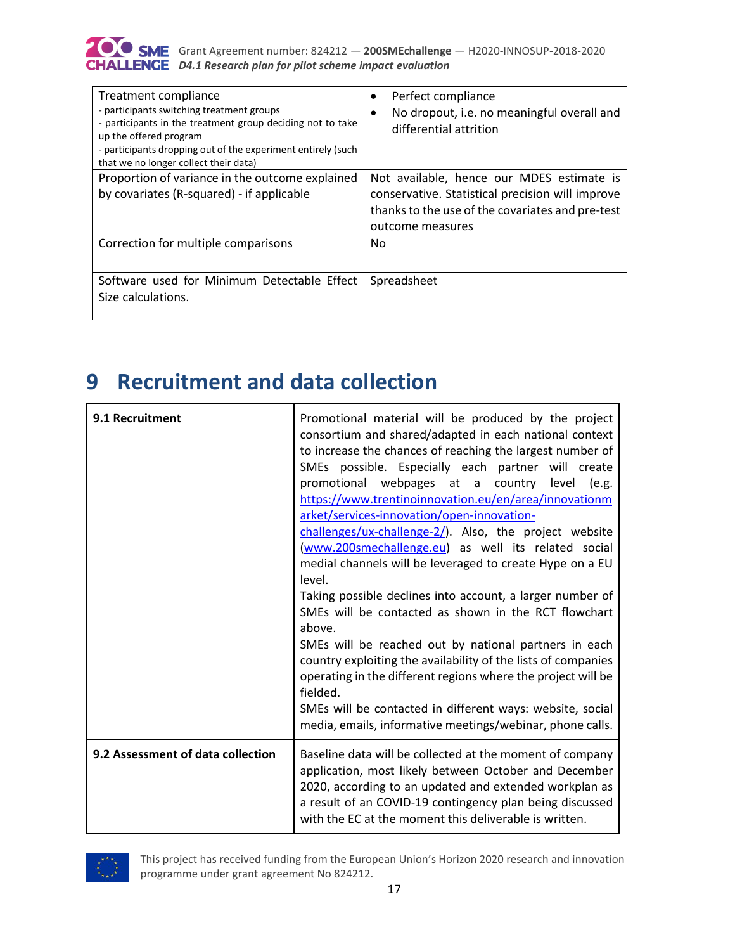

| Treatment compliance<br>- participants switching treatment groups<br>- participants in the treatment group deciding not to take<br>up the offered program<br>- participants dropping out of the experiment entirely (such<br>that we no longer collect their data) | Perfect compliance<br>$\bullet$<br>No dropout, i.e. no meaningful overall and<br>$\bullet$<br>differential attrition                                                  |
|--------------------------------------------------------------------------------------------------------------------------------------------------------------------------------------------------------------------------------------------------------------------|-----------------------------------------------------------------------------------------------------------------------------------------------------------------------|
| Proportion of variance in the outcome explained<br>by covariates (R-squared) - if applicable                                                                                                                                                                       | Not available, hence our MDES estimate is<br>conservative. Statistical precision will improve<br>thanks to the use of the covariates and pre-test<br>outcome measures |
| Correction for multiple comparisons                                                                                                                                                                                                                                | No                                                                                                                                                                    |
| Software used for Minimum Detectable Effect<br>Size calculations.                                                                                                                                                                                                  | Spreadsheet                                                                                                                                                           |

# <span id="page-16-0"></span>**9 Recruitment and data collection**

| 9.1 Recruitment                   | Promotional material will be produced by the project<br>consortium and shared/adapted in each national context<br>to increase the chances of reaching the largest number of<br>SMEs possible. Especially each partner will create<br>promotional webpages at a country level (e.g.<br>https://www.trentinoinnovation.eu/en/area/innovationm<br>arket/services-innovation/open-innovation-<br>challenges/ux-challenge-2/). Also, the project website<br>(www.200smechallenge.eu) as well its related social<br>medial channels will be leveraged to create Hype on a EU<br>level.<br>Taking possible declines into account, a larger number of<br>SMEs will be contacted as shown in the RCT flowchart<br>above.<br>SMEs will be reached out by national partners in each<br>country exploiting the availability of the lists of companies<br>operating in the different regions where the project will be<br>fielded.<br>SMEs will be contacted in different ways: website, social<br>media, emails, informative meetings/webinar, phone calls. |
|-----------------------------------|-------------------------------------------------------------------------------------------------------------------------------------------------------------------------------------------------------------------------------------------------------------------------------------------------------------------------------------------------------------------------------------------------------------------------------------------------------------------------------------------------------------------------------------------------------------------------------------------------------------------------------------------------------------------------------------------------------------------------------------------------------------------------------------------------------------------------------------------------------------------------------------------------------------------------------------------------------------------------------------------------------------------------------------------------|
| 9.2 Assessment of data collection | Baseline data will be collected at the moment of company<br>application, most likely between October and December<br>2020, according to an updated and extended workplan as<br>a result of an COVID-19 contingency plan being discussed<br>with the EC at the moment this deliverable is written.                                                                                                                                                                                                                                                                                                                                                                                                                                                                                                                                                                                                                                                                                                                                               |

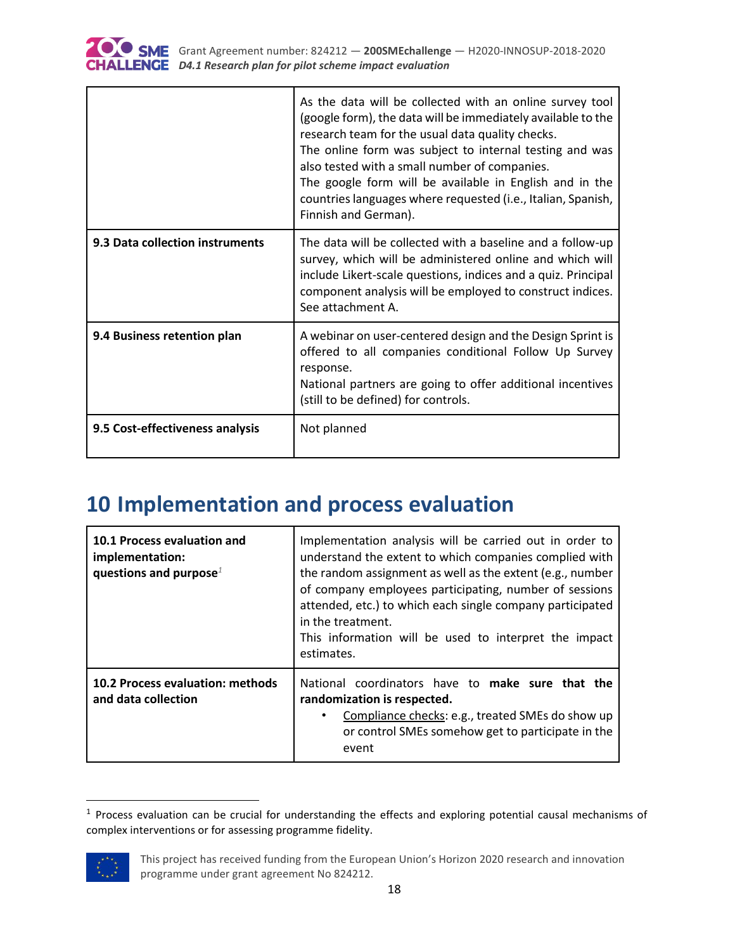

|                                 | As the data will be collected with an online survey tool<br>(google form), the data will be immediately available to the<br>research team for the usual data quality checks.<br>The online form was subject to internal testing and was<br>also tested with a small number of companies.<br>The google form will be available in English and in the<br>countries languages where requested (i.e., Italian, Spanish,<br>Finnish and German). |
|---------------------------------|---------------------------------------------------------------------------------------------------------------------------------------------------------------------------------------------------------------------------------------------------------------------------------------------------------------------------------------------------------------------------------------------------------------------------------------------|
| 9.3 Data collection instruments | The data will be collected with a baseline and a follow-up<br>survey, which will be administered online and which will<br>include Likert-scale questions, indices and a quiz. Principal<br>component analysis will be employed to construct indices.<br>See attachment A.                                                                                                                                                                   |
| 9.4 Business retention plan     | A webinar on user-centered design and the Design Sprint is<br>offered to all companies conditional Follow Up Survey<br>response.<br>National partners are going to offer additional incentives<br>(still to be defined) for controls.                                                                                                                                                                                                       |
| 9.5 Cost-effectiveness analysis | Not planned                                                                                                                                                                                                                                                                                                                                                                                                                                 |

# <span id="page-17-0"></span>**10 Implementation and process evaluation**

| 10.1 Process evaluation and<br>implementation:<br>questions and purpose <sup><math>1</math></sup> | Implementation analysis will be carried out in order to<br>understand the extent to which companies complied with<br>the random assignment as well as the extent (e.g., number<br>of company employees participating, number of sessions<br>attended, etc.) to which each single company participated<br>in the treatment.<br>This information will be used to interpret the impact<br>estimates. |
|---------------------------------------------------------------------------------------------------|---------------------------------------------------------------------------------------------------------------------------------------------------------------------------------------------------------------------------------------------------------------------------------------------------------------------------------------------------------------------------------------------------|
| 10.2 Process evaluation: methods<br>and data collection                                           | National coordinators have to make sure that the<br>randomization is respected.<br>Compliance checks: e.g., treated SMEs do show up<br>or control SMEs somehow get to participate in the<br>event                                                                                                                                                                                                 |

<sup>&</sup>lt;sup>1</sup> Process evaluation can be crucial for understanding the effects and exploring potential causal mechanisms of complex interventions or for assessing programme fidelity.



 $\overline{a}$ 

This project has received funding from the European Union's Horizon 2020 research and innovation programme under grant agreement No 824212.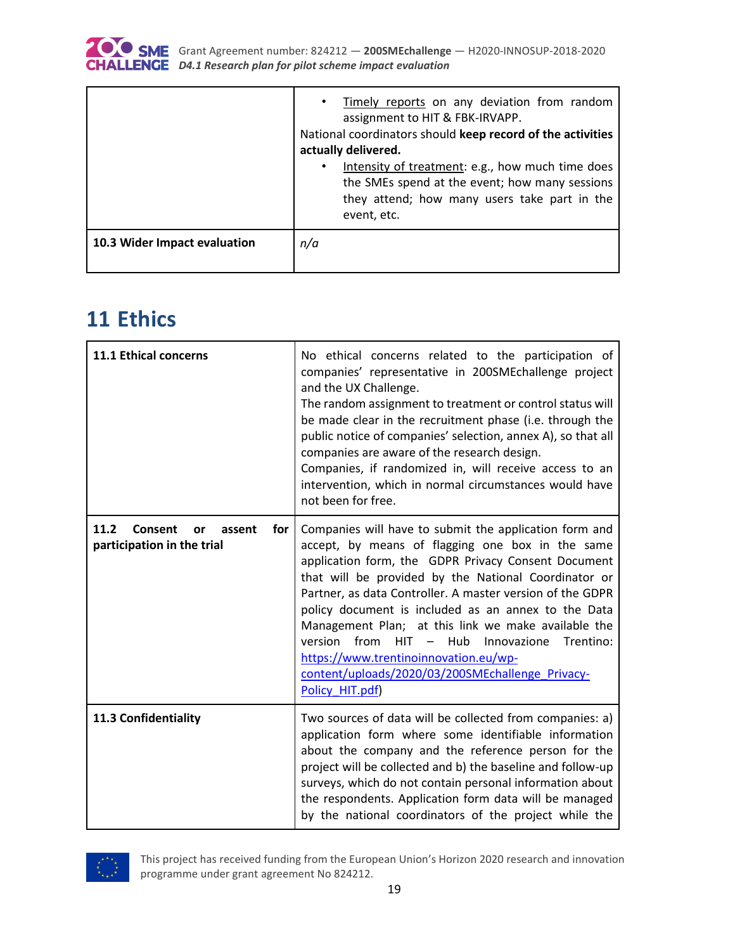

|                              | Timely reports on any deviation from random<br>$\bullet$<br>assignment to HIT & FBK-IRVAPP.<br>National coordinators should keep record of the activities<br>actually delivered.<br>Intensity of treatment: e.g., how much time does<br>$\bullet$<br>the SMEs spend at the event; how many sessions<br>they attend; how many users take part in the<br>event, etc. |
|------------------------------|--------------------------------------------------------------------------------------------------------------------------------------------------------------------------------------------------------------------------------------------------------------------------------------------------------------------------------------------------------------------|
| 10.3 Wider Impact evaluation | n/a                                                                                                                                                                                                                                                                                                                                                                |

# <span id="page-18-0"></span>**11 Ethics**

| 11.1 Ethical concerns                                                | No ethical concerns related to the participation of<br>companies' representative in 200SMEchallenge project<br>and the UX Challenge.<br>The random assignment to treatment or control status will<br>be made clear in the recruitment phase (i.e. through the<br>public notice of companies' selection, annex A), so that all<br>companies are aware of the research design.<br>Companies, if randomized in, will receive access to an<br>intervention, which in normal circumstances would have<br>not been for free.                                                                |
|----------------------------------------------------------------------|---------------------------------------------------------------------------------------------------------------------------------------------------------------------------------------------------------------------------------------------------------------------------------------------------------------------------------------------------------------------------------------------------------------------------------------------------------------------------------------------------------------------------------------------------------------------------------------|
| 11.2<br>Consent<br>for<br>or<br>assent<br>participation in the trial | Companies will have to submit the application form and<br>accept, by means of flagging one box in the same<br>application form, the GDPR Privacy Consent Document<br>that will be provided by the National Coordinator or<br>Partner, as data Controller. A master version of the GDPR<br>policy document is included as an annex to the Data<br>Management Plan; at this link we make available the<br>version<br>from<br>$HIT -$<br>Hub<br>Trentino:<br>Innovazione<br>https://www.trentinoinnovation.eu/wp-<br>content/uploads/2020/03/200SMEchallenge Privacy-<br>Policy HIT.pdf) |
| 11.3 Confidentiality                                                 | Two sources of data will be collected from companies: a)<br>application form where some identifiable information<br>about the company and the reference person for the<br>project will be collected and b) the baseline and follow-up<br>surveys, which do not contain personal information about<br>the respondents. Application form data will be managed<br>by the national coordinators of the project while the                                                                                                                                                                  |

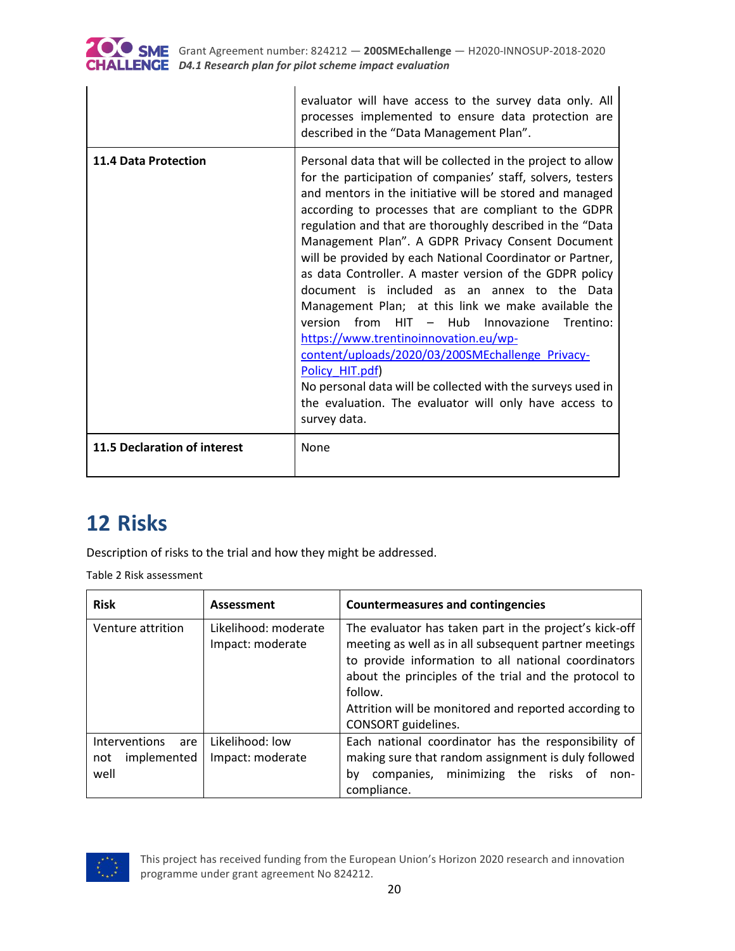

|                              | evaluator will have access to the survey data only. All<br>processes implemented to ensure data protection are<br>described in the "Data Management Plan".                                                                                                                                                                                                                                                                                                                                                                                                                                                                                                                                                                                                                                                                                                                                                       |
|------------------------------|------------------------------------------------------------------------------------------------------------------------------------------------------------------------------------------------------------------------------------------------------------------------------------------------------------------------------------------------------------------------------------------------------------------------------------------------------------------------------------------------------------------------------------------------------------------------------------------------------------------------------------------------------------------------------------------------------------------------------------------------------------------------------------------------------------------------------------------------------------------------------------------------------------------|
| <b>11.4 Data Protection</b>  | Personal data that will be collected in the project to allow<br>for the participation of companies' staff, solvers, testers<br>and mentors in the initiative will be stored and managed<br>according to processes that are compliant to the GDPR<br>regulation and that are thoroughly described in the "Data<br>Management Plan". A GDPR Privacy Consent Document<br>will be provided by each National Coordinator or Partner,<br>as data Controller. A master version of the GDPR policy<br>document is included as an annex to the Data<br>Management Plan; at this link we make available the<br>version from HIT - Hub<br>Innovazione<br>Trentino:<br>https://www.trentinoinnovation.eu/wp-<br>content/uploads/2020/03/200SMEchallenge Privacy-<br>Policy HIT.pdf)<br>No personal data will be collected with the surveys used in<br>the evaluation. The evaluator will only have access to<br>survey data. |
| 11.5 Declaration of interest | None                                                                                                                                                                                                                                                                                                                                                                                                                                                                                                                                                                                                                                                                                                                                                                                                                                                                                                             |

# <span id="page-19-0"></span>**12 Risks**

Description of risks to the trial and how they might be addressed.

<span id="page-19-1"></span>Table 2 Risk assessment

| <b>Risk</b>                                        | Assessment                               | Countermeasures and contingencies                                                                                                                                                                                                                                                                                          |
|----------------------------------------------------|------------------------------------------|----------------------------------------------------------------------------------------------------------------------------------------------------------------------------------------------------------------------------------------------------------------------------------------------------------------------------|
| Venture attrition                                  | Likelihood: moderate<br>Impact: moderate | The evaluator has taken part in the project's kick-off<br>meeting as well as in all subsequent partner meetings<br>to provide information to all national coordinators<br>about the principles of the trial and the protocol to<br>follow.<br>Attrition will be monitored and reported according to<br>CONSORT guidelines. |
| Interventions<br>are<br>implemented<br>not<br>well | Likelihood: low<br>Impact: moderate      | Each national coordinator has the responsibility of<br>making sure that random assignment is duly followed<br>companies, minimizing the risks of<br>bv<br>non-<br>compliance.                                                                                                                                              |

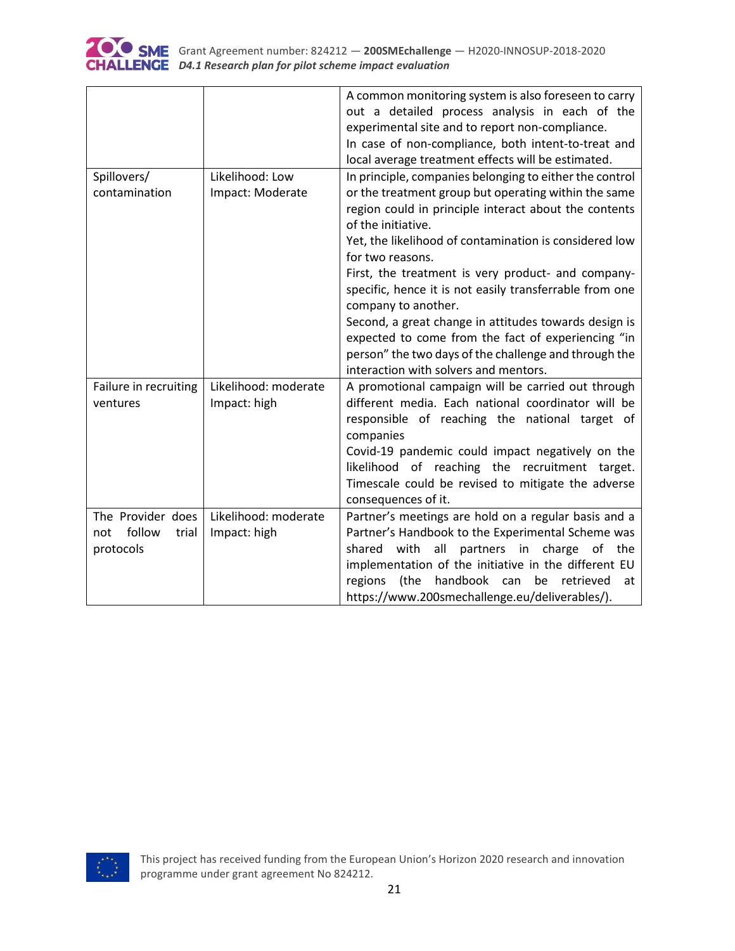

|                        |                      | A common monitoring system is also foreseen to carry<br>out a detailed process analysis in each of the<br>experimental site and to report non-compliance.<br>In case of non-compliance, both intent-to-treat and<br>local average treatment effects will be estimated. |
|------------------------|----------------------|------------------------------------------------------------------------------------------------------------------------------------------------------------------------------------------------------------------------------------------------------------------------|
| Spillovers/            | Likelihood: Low      | In principle, companies belonging to either the control                                                                                                                                                                                                                |
| contamination          | Impact: Moderate     | or the treatment group but operating within the same                                                                                                                                                                                                                   |
|                        |                      | region could in principle interact about the contents                                                                                                                                                                                                                  |
|                        |                      | of the initiative.                                                                                                                                                                                                                                                     |
|                        |                      | Yet, the likelihood of contamination is considered low                                                                                                                                                                                                                 |
|                        |                      | for two reasons.                                                                                                                                                                                                                                                       |
|                        |                      | First, the treatment is very product- and company-                                                                                                                                                                                                                     |
|                        |                      | specific, hence it is not easily transferrable from one<br>company to another.                                                                                                                                                                                         |
|                        |                      | Second, a great change in attitudes towards design is                                                                                                                                                                                                                  |
|                        |                      | expected to come from the fact of experiencing "in                                                                                                                                                                                                                     |
|                        |                      | person" the two days of the challenge and through the                                                                                                                                                                                                                  |
|                        |                      | interaction with solvers and mentors.                                                                                                                                                                                                                                  |
| Failure in recruiting  | Likelihood: moderate | A promotional campaign will be carried out through                                                                                                                                                                                                                     |
| ventures               | Impact: high         | different media. Each national coordinator will be                                                                                                                                                                                                                     |
|                        |                      | responsible of reaching the national target of                                                                                                                                                                                                                         |
|                        |                      | companies                                                                                                                                                                                                                                                              |
|                        |                      | Covid-19 pandemic could impact negatively on the                                                                                                                                                                                                                       |
|                        |                      | likelihood of reaching the recruitment target.                                                                                                                                                                                                                         |
|                        |                      | Timescale could be revised to mitigate the adverse<br>consequences of it.                                                                                                                                                                                              |
| The Provider does      | Likelihood: moderate | Partner's meetings are hold on a regular basis and a                                                                                                                                                                                                                   |
| follow<br>trial<br>not | Impact: high         | Partner's Handbook to the Experimental Scheme was                                                                                                                                                                                                                      |
| protocols              |                      | shared<br>with<br>all<br>partners in<br>charge of<br>the                                                                                                                                                                                                               |
|                        |                      | implementation of the initiative in the different EU                                                                                                                                                                                                                   |
|                        |                      | (the handbook can<br>regions<br>be retrieved<br>at                                                                                                                                                                                                                     |
|                        |                      | https://www.200smechallenge.eu/deliverables/).                                                                                                                                                                                                                         |

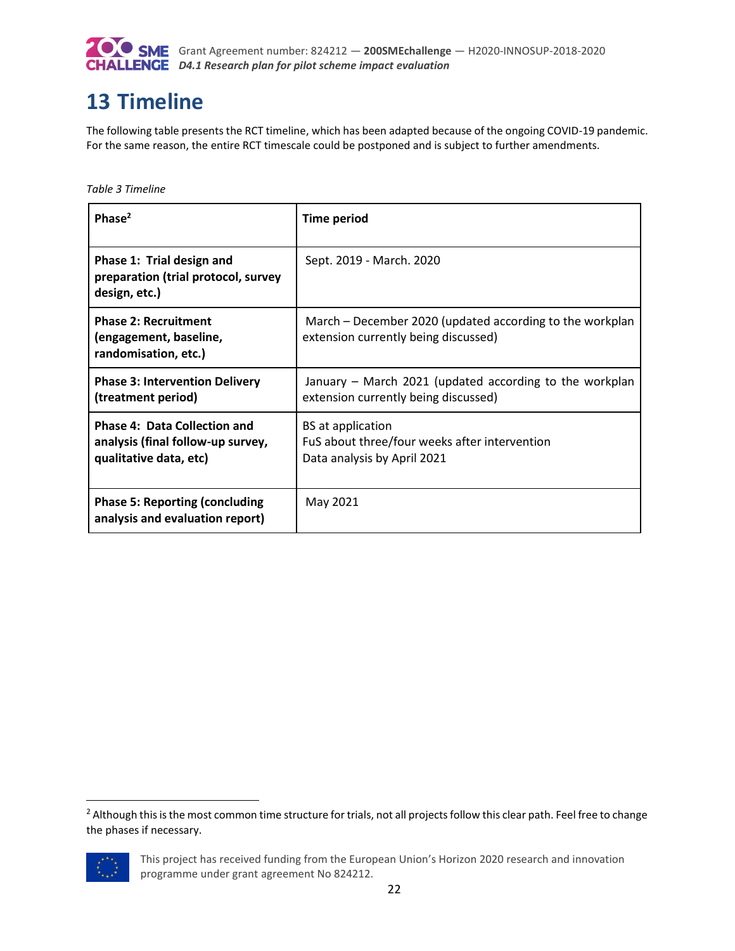

# <span id="page-21-0"></span>**13 Timeline**

The following table presents the RCT timeline, which has been adapted because of the ongoing COVID-19 pandemic. For the same reason, the entire RCT timescale could be postponed and is subject to further amendments.

<span id="page-21-1"></span>*Table 3 Timeline*

| Phase $2$                                                                                          | <b>Time period</b>                                                                                       |
|----------------------------------------------------------------------------------------------------|----------------------------------------------------------------------------------------------------------|
| Phase 1: Trial design and<br>preparation (trial protocol, survey<br>design, etc.)                  | Sept. 2019 - March. 2020                                                                                 |
| <b>Phase 2: Recruitment</b><br>(engagement, baseline,<br>randomisation, etc.)                      | March – December 2020 (updated according to the workplan<br>extension currently being discussed)         |
| <b>Phase 3: Intervention Delivery</b><br>(treatment period)                                        | January – March 2021 (updated according to the workplan<br>extension currently being discussed)          |
| <b>Phase 4: Data Collection and</b><br>analysis (final follow-up survey,<br>qualitative data, etc) | <b>BS</b> at application<br>FuS about three/four weeks after intervention<br>Data analysis by April 2021 |
| <b>Phase 5: Reporting (concluding</b><br>analysis and evaluation report)                           | May 2021                                                                                                 |

<sup>&</sup>lt;sup>2</sup> Although this is the most common time structure for trials, not all projects follow this clear path. Feel free to change the phases if necessary.



 $\overline{a}$ 

This project has received funding from the European Union's Horizon 2020 research and innovation programme under grant agreement No 824212.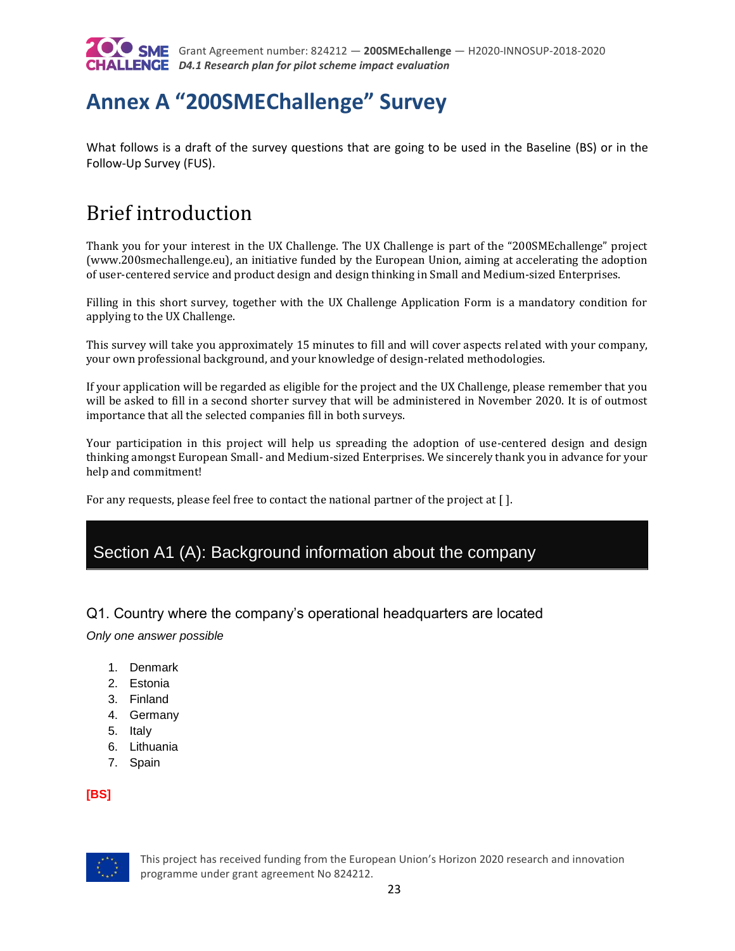

# <span id="page-22-0"></span>**Annex A "200SMEChallenge" Survey**

What follows is a draft of the survey questions that are going to be used in the Baseline (BS) or in the Follow-Up Survey (FUS).

# Brief introduction

Thank you for your interest in the UX Challenge. The UX Challenge is part of the "200SMEchallenge" project (www.200smechallenge.eu), an initiative funded by the European Union, aiming at accelerating the adoption of user-centered service and product design and design thinking in Small and Medium-sized Enterprises.

Filling in this short survey, together with the UX Challenge Application Form is a mandatory condition for applying to the UX Challenge.

This survey will take you approximately 15 minutes to fill and will cover aspects related with your company, your own professional background, and your knowledge of design-related methodologies.

If your application will be regarded as eligible for the project and the UX Challenge, please remember that you will be asked to fill in a second shorter survey that will be administered in November 2020. It is of outmost importance that all the selected companies fill in both surveys.

Your participation in this project will help us spreading the adoption of use-centered design and design thinking amongst European Small- and Medium-sized Enterprises. We sincerely thank you in advance for your help and commitment!

For any requests, please feel free to contact the national partner of the project at [ ].

## Section A1 (A): Background information about the company

#### Q1. Country where the company's operational headquarters are located

*Only one answer possible*

- 1. Denmark
- 2. Estonia
- 3. Finland
- 4. Germany
- 5. Italy
- 6. Lithuania
- 7. Spain

**[BS]**

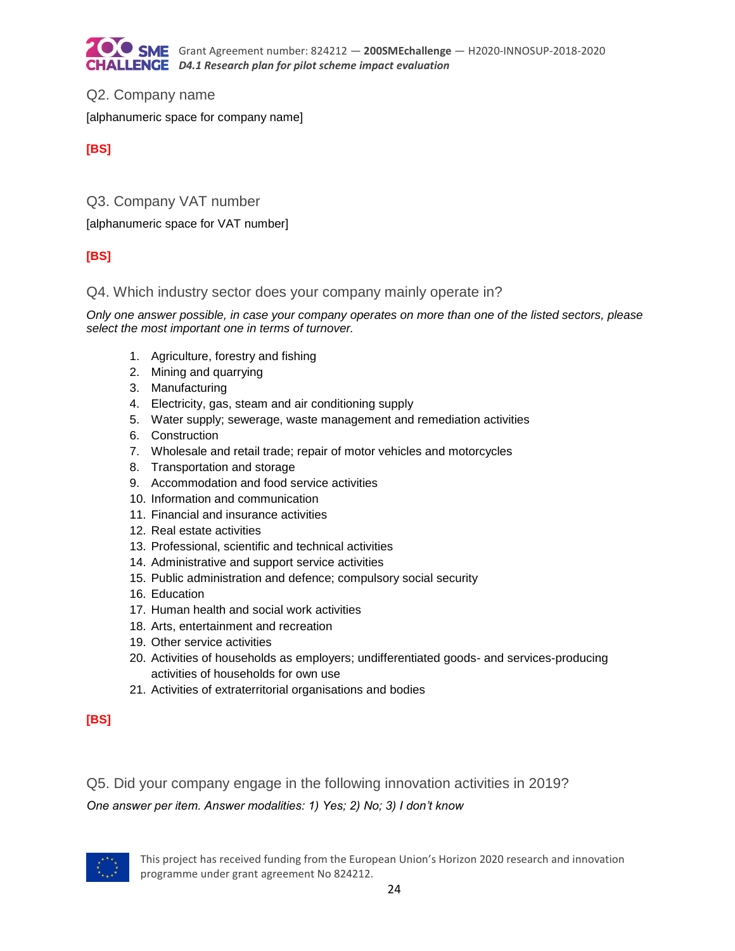

Q2. Company name [alphanumeric space for company name]

#### **[BS]**

Q3. Company VAT number

[alphanumeric space for VAT number]

### **[BS]**

### Q4. Which industry sector does your company mainly operate in?

*Only one answer possible, in case your company operates on more than one of the listed sectors, please select the most important one in terms of turnover.*

- 1. Agriculture, forestry and fishing
- 2. Mining and quarrying
- 3. Manufacturing
- 4. Electricity, gas, steam and air conditioning supply
- 5. Water supply; sewerage, waste management and remediation activities
- 6. Construction
- 7. Wholesale and retail trade; repair of motor vehicles and motorcycles
- 8. Transportation and storage
- 9. Accommodation and food service activities
- 10. Information and communication
- 11. Financial and insurance activities
- 12. Real estate activities
- 13. Professional, scientific and technical activities
- 14. Administrative and support service activities
- 15. Public administration and defence; compulsory social security
- 16. Education
- 17. Human health and social work activities
- 18. Arts, entertainment and recreation
- 19. Other service activities
- 20. Activities of households as employers; undifferentiated goods- and services-producing activities of households for own use
- 21. Activities of extraterritorial organisations and bodies

### **[BS]**

Q5. Did your company engage in the following innovation activities in 2019?

*One answer per item. Answer modalities: 1) Yes; 2) No; 3) I don't know*

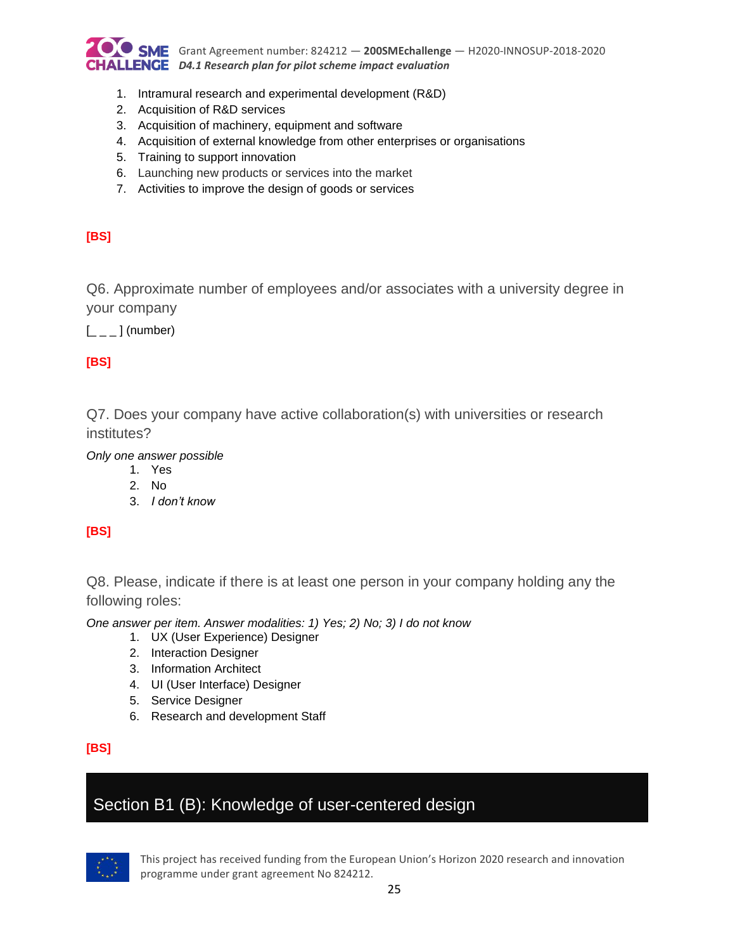

- 1. Intramural research and experimental development (R&D)
- 2. Acquisition of R&D services
- 3. Acquisition of machinery, equipment and software
- 4. Acquisition of external knowledge from other enterprises or organisations
- 5. Training to support innovation
- 6. Launching new products or services into the market
- 7. Activities to improve the design of goods or services

#### **[BS]**

Q6. Approximate number of employees and/or associates with a university degree in your company

 $\left[\begin{smallmatrix} - & \end{smallmatrix}\right]$  (number)

### **[BS]**

Q7. Does your company have active collaboration(s) with universities or research institutes?

*Only one answer possible*

1. Yes

- 2. No
- 3. *I don't know*

### **[BS]**

Q8. Please, indicate if there is at least one person in your company holding any the following roles:

*One answer per item. Answer modalities: 1) Yes; 2) No; 3) I do not know* 

- 1. UX (User Experience) Designer
- 2. Interaction Designer
- 3. Information Architect
- 4. UI (User Interface) Designer
- 5. Service Designer
- 6. Research and development Staff

#### **[BS]**

## Section B1 (B): Knowledge of user-centered design

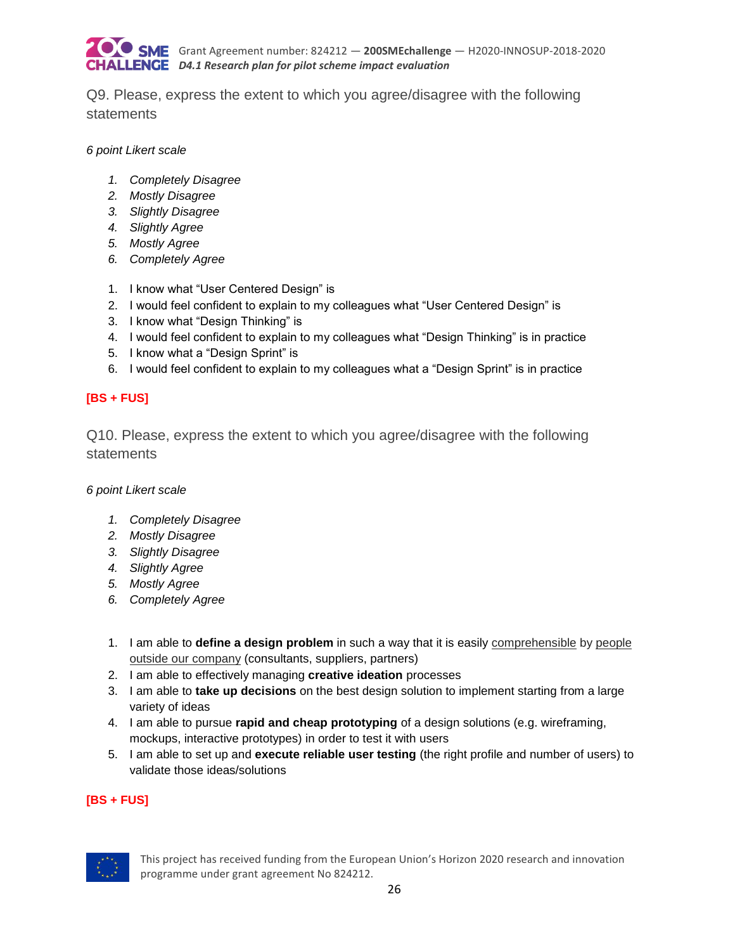

Q9. Please, express the extent to which you agree/disagree with the following statements

#### *6 point Likert scale*

- *1. Completely Disagree*
- *2. Mostly Disagree*
- *3. Slightly Disagree*
- *4. Slightly Agree*
- *5. Mostly Agree*
- *6. Completely Agree*
- 1. I know what "User Centered Design" is
- 2. I would feel confident to explain to my colleagues what "User Centered Design" is
- 3. I know what "Design Thinking" is
- 4. I would feel confident to explain to my colleagues what "Design Thinking" is in practice
- 5. I know what a "Design Sprint" is
- 6. I would feel confident to explain to my colleagues what a "Design Sprint" is in practice

#### **[BS + FUS]**

Q10. Please, express the extent to which you agree/disagree with the following statements

*6 point Likert scale*

- *1. Completely Disagree*
- *2. Mostly Disagree*
- *3. Slightly Disagree*
- *4. Slightly Agree*
- *5. Mostly Agree*
- *6. Completely Agree*
- 1. I am able to **define a design problem** in such a way that it is easily comprehensible by people outside our company (consultants, suppliers, partners)
- 2. I am able to effectively managing **creative ideation** processes
- 3. I am able to **take up decisions** on the best design solution to implement starting from a large variety of ideas
- 4. I am able to pursue **rapid and cheap prototyping** of a design solutions (e.g. wireframing, mockups, interactive prototypes) in order to test it with users
- 5. I am able to set up and **execute reliable user testing** (the right profile and number of users) to validate those ideas/solutions

#### **[BS + FUS]**

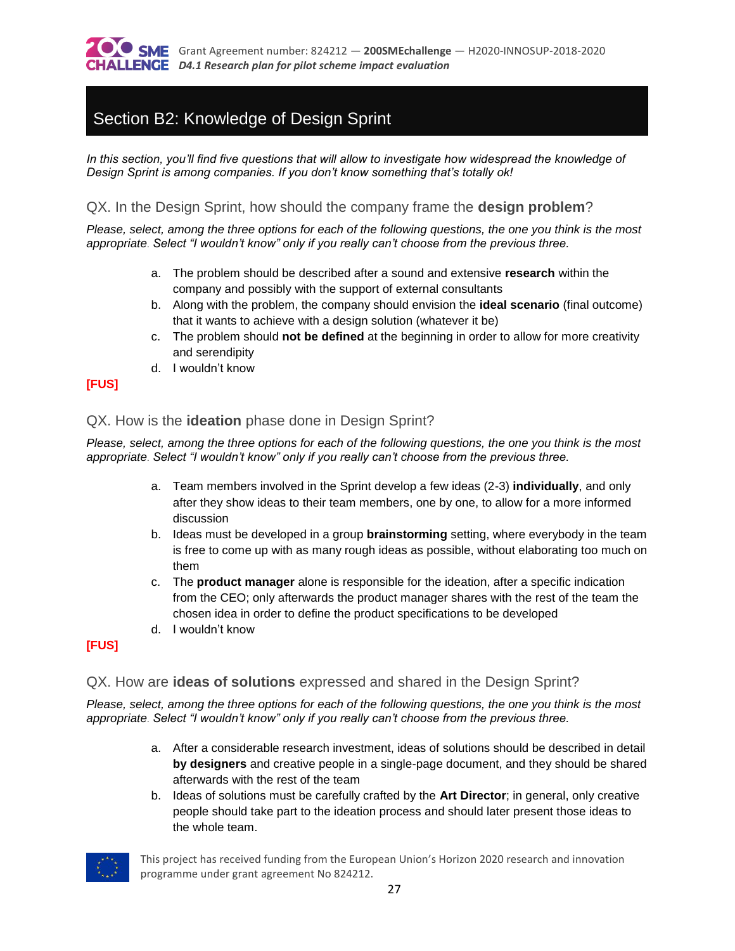

# Section B2: Knowledge of Design Sprint

*In this section, you'll find five questions that will allow to investigate how widespread the knowledge of Design Sprint is among companies. If you don't know something that's totally ok!*

#### QX. In the Design Sprint, how should the company frame the **design problem**?

*Please, select, among the three options for each of the following questions, the one you think is the most appropriate*. *Select "I wouldn't know" only if you really can't choose from the previous three.*

- a. The problem should be described after a sound and extensive **research** within the company and possibly with the support of external consultants
- b. Along with the problem, the company should envision the **ideal scenario** (final outcome) that it wants to achieve with a design solution (whatever it be)
- c. The problem should **not be defined** at the beginning in order to allow for more creativity and serendipity
- d. I wouldn't know

#### **[FUS]**

#### QX. How is the **ideation** phase done in Design Sprint?

*Please, select, among the three options for each of the following questions, the one you think is the most appropriate*. *Select "I wouldn't know" only if you really can't choose from the previous three.*

- a. Team members involved in the Sprint develop a few ideas (2-3) **individually**, and only after they show ideas to their team members, one by one, to allow for a more informed discussion
- b. Ideas must be developed in a group **brainstorming** setting, where everybody in the team is free to come up with as many rough ideas as possible, without elaborating too much on them
- c. The **product manager** alone is responsible for the ideation, after a specific indication from the CEO; only afterwards the product manager shares with the rest of the team the chosen idea in order to define the product specifications to be developed
- d. I wouldn't know

#### **[FUS]**

#### QX. How are **ideas of solutions** expressed and shared in the Design Sprint?

*Please, select, among the three options for each of the following questions, the one you think is the most appropriate*. *Select "I wouldn't know" only if you really can't choose from the previous three.*

- a. After a considerable research investment, ideas of solutions should be described in detail **by designers** and creative people in a single-page document, and they should be shared afterwards with the rest of the team
- b. Ideas of solutions must be carefully crafted by the **Art Director**; in general, only creative people should take part to the ideation process and should later present those ideas to the whole team.

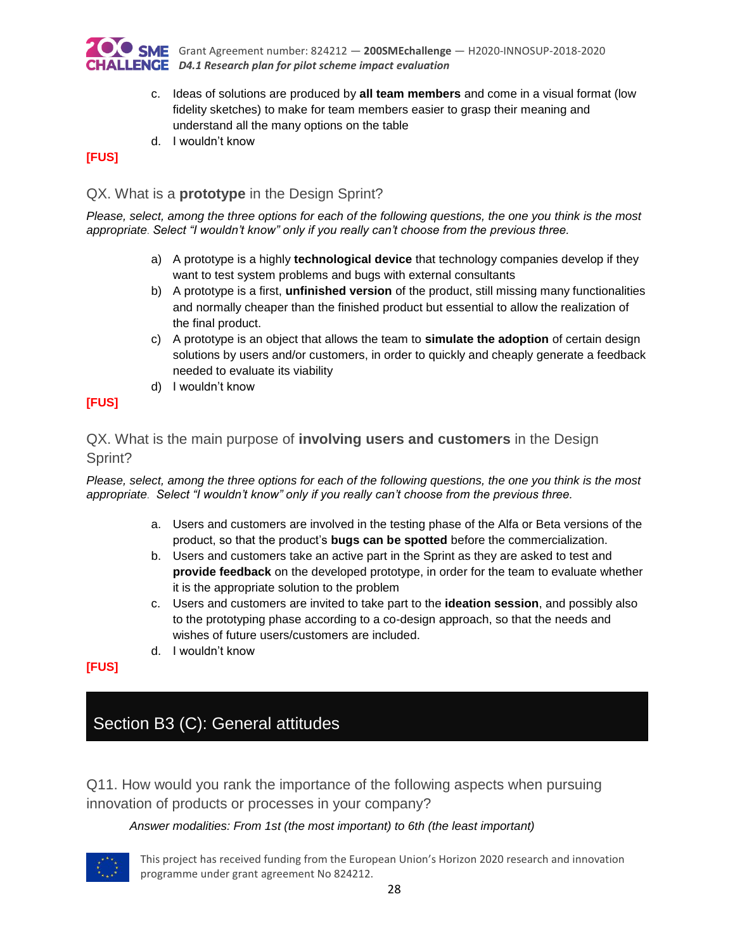

- c. Ideas of solutions are produced by **all team members** and come in a visual format (low fidelity sketches) to make for team members easier to grasp their meaning and understand all the many options on the table
- d. I wouldn't know

#### **[FUS]**

#### QX. What is a **prototype** in the Design Sprint?

*Please, select, among the three options for each of the following questions, the one you think is the most appropriate*. *Select "I wouldn't know" only if you really can't choose from the previous three.*

- a) A prototype is a highly **technological device** that technology companies develop if they want to test system problems and bugs with external consultants
- b) A prototype is a first, **unfinished version** of the product, still missing many functionalities and normally cheaper than the finished product but essential to allow the realization of the final product.
- c) A prototype is an object that allows the team to **simulate the adoption** of certain design solutions by users and/or customers, in order to quickly and cheaply generate a feedback needed to evaluate its viability
- d) I wouldn't know

#### **[FUS]**

### QX. What is the main purpose of **involving users and customers** in the Design Sprint?

*Please, select, among the three options for each of the following questions, the one you think is the most appropriate*. *Select "I wouldn't know" only if you really can't choose from the previous three.*

- a. Users and customers are involved in the testing phase of the Alfa or Beta versions of the product, so that the product's **bugs can be spotted** before the commercialization.
- b. Users and customers take an active part in the Sprint as they are asked to test and **provide feedback** on the developed prototype, in order for the team to evaluate whether it is the appropriate solution to the problem
- c. Users and customers are invited to take part to the **ideation session**, and possibly also to the prototyping phase according to a co-design approach, so that the needs and wishes of future users/customers are included.
- d. I wouldn't know

#### **[FUS]**

# Section B3 (C): General attitudes

Q11. How would you rank the importance of the following aspects when pursuing innovation of products or processes in your company?

#### *Answer modalities: From 1st (the most important) to 6th (the least important)*

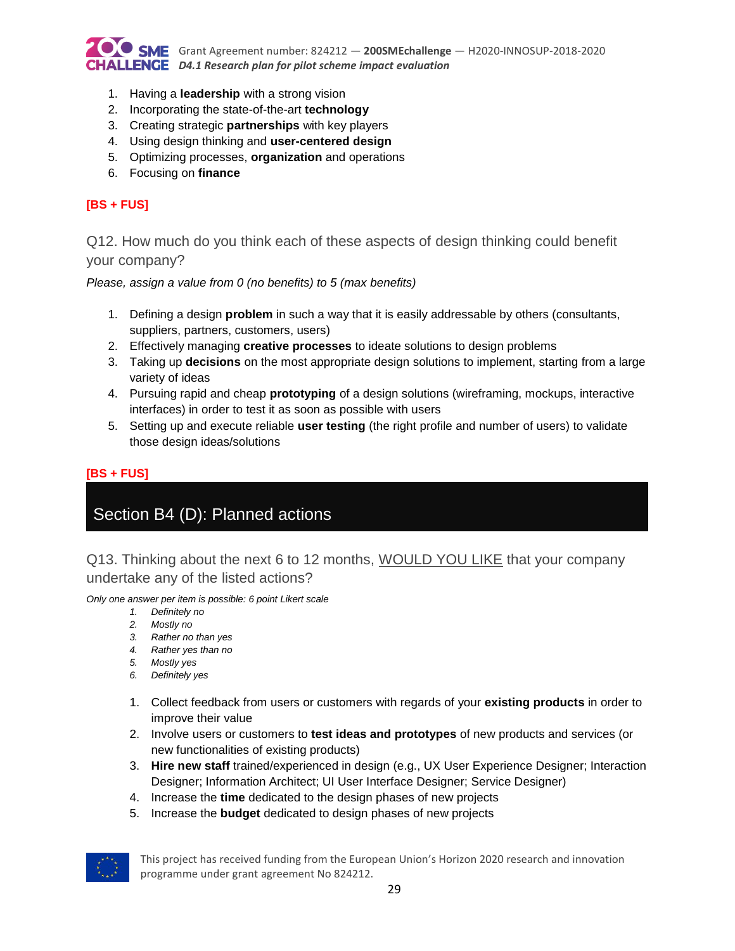

- 1. Having a **leadership** with a strong vision
- 2. Incorporating the state-of-the-art **technology**
- 3. Creating strategic **partnerships** with key players
- 4. Using design thinking and **user-centered design**
- 5. Optimizing processes, **organization** and operations
- 6. Focusing on **finance**

#### **[BS + FUS]**

Q12. How much do you think each of these aspects of design thinking could benefit your company?

*Please, assign a value from 0 (no benefits) to 5 (max benefits)* 

- 1. Defining a design **problem** in such a way that it is easily addressable by others (consultants, suppliers, partners, customers, users)
- 2. Effectively managing **creative processes** to ideate solutions to design problems
- 3. Taking up **decisions** on the most appropriate design solutions to implement, starting from a large variety of ideas
- 4. Pursuing rapid and cheap **prototyping** of a design solutions (wireframing, mockups, interactive interfaces) in order to test it as soon as possible with users
- 5. Setting up and execute reliable **user testing** (the right profile and number of users) to validate those design ideas/solutions

#### **[BS + FUS]**

# Section B4 (D): Planned actions

Q13. Thinking about the next 6 to 12 months, WOULD YOU LIKE that your company undertake any of the listed actions?

*Only one answer per item is possible: 6 point Likert scale*

- *1. Definitely no*
- *2. Mostly no*
- *3. Rather no than yes*
- *4. Rather yes than no*
- *5. Mostly yes*
- *6. Definitely yes*
- 1. Collect feedback from users or customers with regards of your **existing products** in order to improve their value
- 2. Involve users or customers to **test ideas and prototypes** of new products and services (or new functionalities of existing products)
- 3. **Hire new staff** trained/experienced in design (e.g., UX User Experience Designer; Interaction Designer; Information Architect; UI User Interface Designer; Service Designer)
- 4. Increase the **time** dedicated to the design phases of new projects
- 5. Increase the **budget** dedicated to design phases of new projects

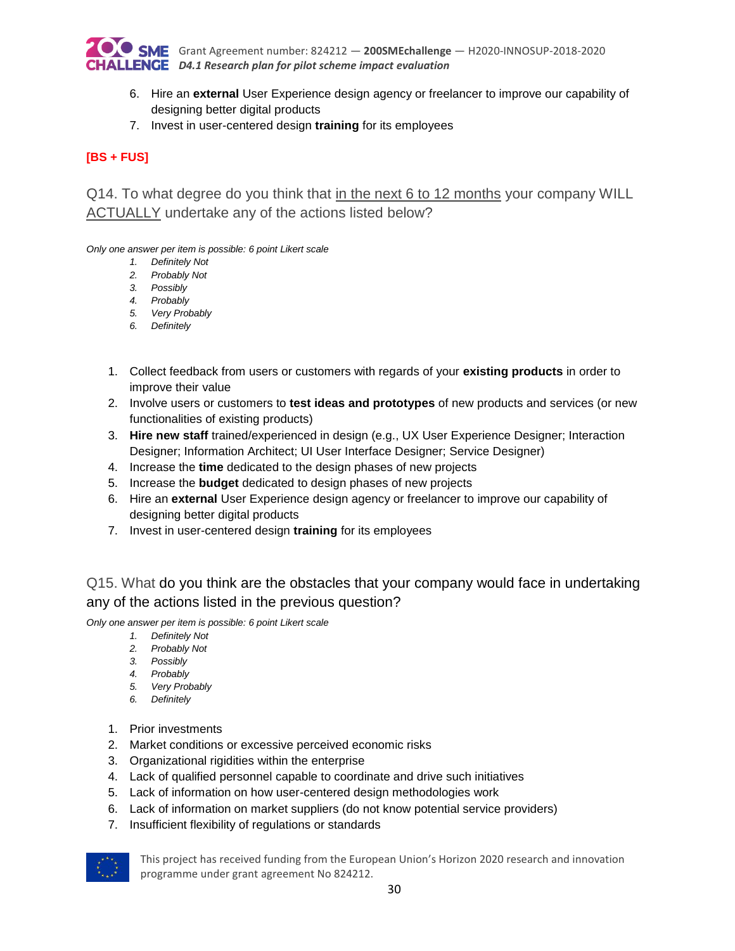

- 6. Hire an **external** User Experience design agency or freelancer to improve our capability of designing better digital products
- 7. Invest in user-centered design **training** for its employees

### **[BS + FUS]**

Q14. To what degree do you think that in the next 6 to 12 months your company WILL ACTUALLY undertake any of the actions listed below?

*Only one answer per item is possible: 6 point Likert scale*

- *1. Definitely Not*
- *2. Probably Not*
- *3. Possibly*
- *4. Probably*
- *5. Very Probably*
- *6. Definitely*
- 1. Collect feedback from users or customers with regards of your **existing products** in order to improve their value
- 2. Involve users or customers to **test ideas and prototypes** of new products and services (or new functionalities of existing products)
- 3. **Hire new staff** trained/experienced in design (e.g., UX User Experience Designer; Interaction Designer; Information Architect; UI User Interface Designer; Service Designer)
- 4. Increase the **time** dedicated to the design phases of new projects
- 5. Increase the **budget** dedicated to design phases of new projects
- 6. Hire an **external** User Experience design agency or freelancer to improve our capability of designing better digital products
- 7. Invest in user-centered design **training** for its employees

## Q15. What do you think are the obstacles that your company would face in undertaking any of the actions listed in the previous question?

*Only one answer per item is possible: 6 point Likert scale*

- *1. Definitely Not*
- *2. Probably Not*
- *3. Possibly*
- *4. Probably*
- *5. Very Probably*
- *6. Definitely*
- 1. Prior investments
- 2. Market conditions or excessive perceived economic risks
- 3. Organizational rigidities within the enterprise
- 4. Lack of qualified personnel capable to coordinate and drive such initiatives
- 5. Lack of information on how user-centered design methodologies work
- 6. Lack of information on market suppliers (do not know potential service providers)
- 7. Insufficient flexibility of regulations or standards

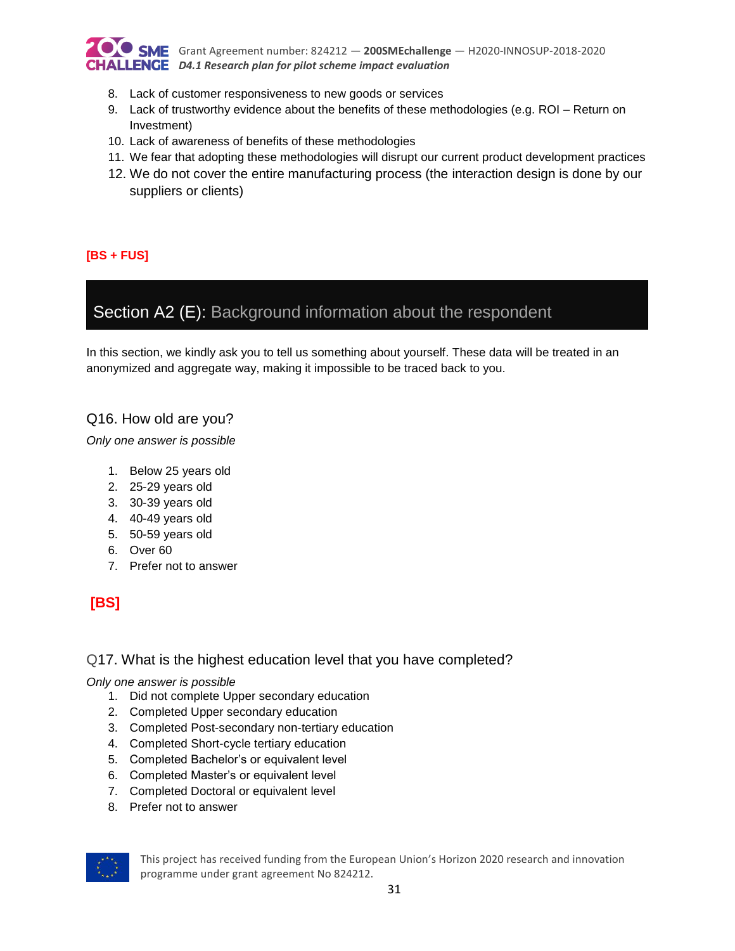

Grant Agreement number: 824212 — **200SMEchallenge** — H2020-INNOSUP-2018-2020 *D4.1 Research plan for pilot scheme impact evaluation*

- 8. Lack of customer responsiveness to new goods or services
- 9. Lack of trustworthy evidence about the benefits of these methodologies (e.g. ROI Return on Investment)
- 10. Lack of awareness of benefits of these methodologies
- 11. We fear that adopting these methodologies will disrupt our current product development practices
- 12. We do not cover the entire manufacturing process (the interaction design is done by our suppliers or clients)

#### **[BS + FUS]**

## Section A2 (E): Background information about the respondent

In this section, we kindly ask you to tell us something about yourself. These data will be treated in an anonymized and aggregate way, making it impossible to be traced back to you.

#### Q16. How old are you?

*Only one answer is possible*

- 1. Below 25 years old
- 2. 25-29 years old
- 3. 30-39 years old
- 4. 40-49 years old
- 5. 50-59 years old
- 6. Over 60
- 7. Prefer not to answer

## **[BS]**

#### Q17. What is the highest education level that you have completed?

#### *Only one answer is possible*

- 1. Did not complete Upper secondary education
- 2. Completed Upper secondary education
- 3. Completed Post-secondary non-tertiary education
- 4. Completed Short-cycle tertiary education
- 5. Completed Bachelor's or equivalent level
- 6. Completed Master's or equivalent level
- 7. Completed Doctoral or equivalent level
- 8. Prefer not to answer

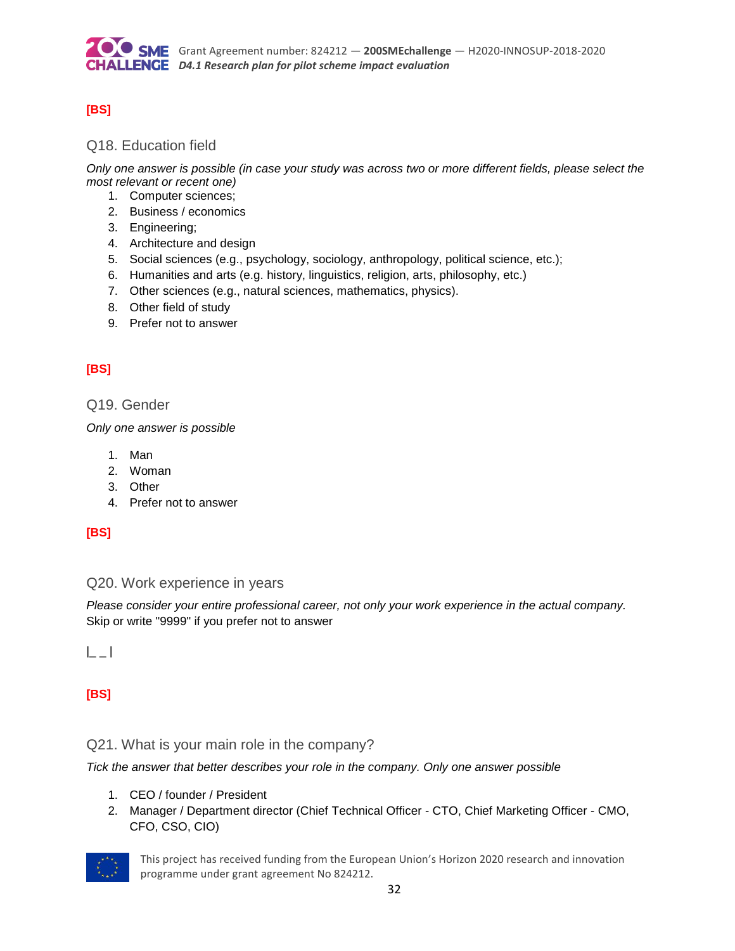

### **[BS]**

#### Q18. Education field

*Only one answer is possible (in case your study was across two or more different fields, please select the most relevant or recent one)*

- 1. Computer sciences;
- 2. Business / economics
- 3. Engineering;
- 4. Architecture and design
- 5. Social sciences (e.g., psychology, sociology, anthropology, political science, etc.);
- 6. Humanities and arts (e.g. history, linguistics, religion, arts, philosophy, etc.)
- 7. Other sciences (e.g., natural sciences, mathematics, physics).
- 8. Other field of study
- 9. Prefer not to answer

### **[BS]**

#### Q19. Gender

*Only one answer is possible*

- 1. Man
- 2. Woman
- 3. Other
- 4. Prefer not to answer

#### **[BS]**

#### Q20. Work experience in years

*Please consider your entire professional career, not only your work experience in the actual company.*  Skip or write "9999" if you prefer not to answer

 $|$ 

### **[BS]**

#### Q21. What is your main role in the company?

*Tick the answer that better describes your role in the company. Only one answer possible*

- 1. CEO / founder / President
- 2. Manager / Department director (Chief Technical Officer CTO, Chief Marketing Officer CMO, CFO, CSO, CIO)

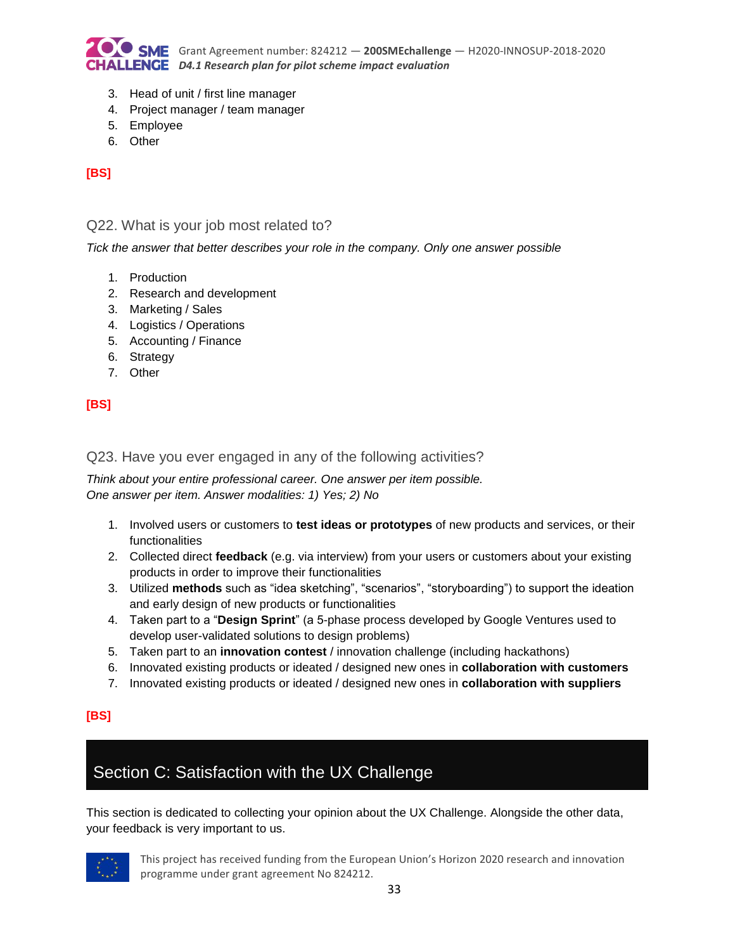

- 3. Head of unit / first line manager
- 4. Project manager / team manager
- 5. Employee
- 6. Other

### **[BS]**

#### Q22. What is your job most related to?

*Tick the answer that better describes your role in the company. Only one answer possible*

- 1. Production
- 2. Research and development
- 3. Marketing / Sales
- 4. Logistics / Operations
- 5. Accounting / Finance
- 6. Strategy
- 7. Other

#### **[BS]**

#### Q23. Have you ever engaged in any of the following activities?

*Think about your entire professional career. One answer per item possible. One answer per item. Answer modalities: 1) Yes; 2) No*

- 1. Involved users or customers to **test ideas or prototypes** of new products and services, or their functionalities
- 2. Collected direct **feedback** (e.g. via interview) from your users or customers about your existing products in order to improve their functionalities
- 3. Utilized **methods** such as "idea sketching", "scenarios", "storyboarding") to support the ideation and early design of new products or functionalities
- 4. Taken part to a "**Design Sprint**" (a 5-phase process developed by Google Ventures used to develop user-validated solutions to design problems)
- 5. Taken part to an **innovation contest** / innovation challenge (including hackathons)
- 6. Innovated existing products or ideated / designed new ones in **collaboration with customers**
- 7. Innovated existing products or ideated / designed new ones in **collaboration with suppliers**

#### **[BS]**

# Section C: Satisfaction with the UX Challenge

This section is dedicated to collecting your opinion about the UX Challenge. Alongside the other data, your feedback is very important to us.

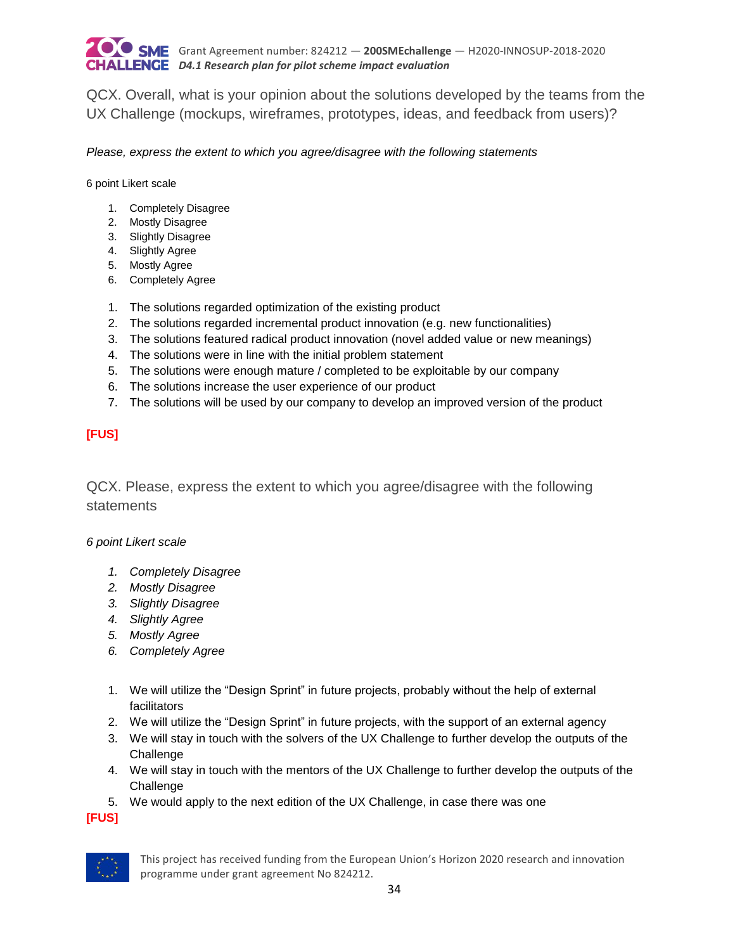

QCX. Overall, what is your opinion about the solutions developed by the teams from the UX Challenge (mockups, wireframes, prototypes, ideas, and feedback from users)?

*Please, express the extent to which you agree/disagree with the following statements*

6 point Likert scale

- 1. Completely Disagree
- 2. Mostly Disagree
- 3. Slightly Disagree
- 4. Slightly Agree
- 5. Mostly Agree
- 6. Completely Agree
- 1. The solutions regarded optimization of the existing product
- 2. The solutions regarded incremental product innovation (e.g. new functionalities)
- 3. The solutions featured radical product innovation (novel added value or new meanings)
- 4. The solutions were in line with the initial problem statement
- 5. The solutions were enough mature / completed to be exploitable by our company
- 6. The solutions increase the user experience of our product
- 7. The solutions will be used by our company to develop an improved version of the product

#### **[FUS]**

QCX. Please, express the extent to which you agree/disagree with the following statements

#### *6 point Likert scale*

- *1. Completely Disagree*
- *2. Mostly Disagree*
- *3. Slightly Disagree*
- *4. Slightly Agree*
- *5. Mostly Agree*
- *6. Completely Agree*
- 1. We will utilize the "Design Sprint" in future projects, probably without the help of external facilitators
- 2. We will utilize the "Design Sprint" in future projects, with the support of an external agency
- 3. We will stay in touch with the solvers of the UX Challenge to further develop the outputs of the Challenge
- 4. We will stay in touch with the mentors of the UX Challenge to further develop the outputs of the **Challenge**
- 5. We would apply to the next edition of the UX Challenge, in case there was one

**[FUS]**